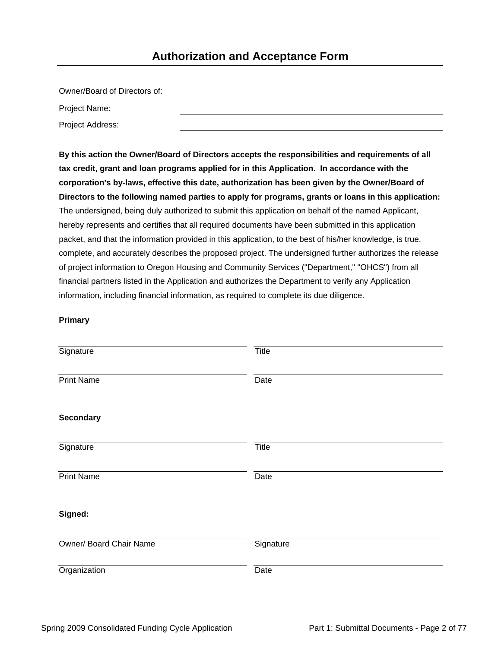#### **Authorization and Acceptance Form**

| Owner/Board of Directors of: |  |
|------------------------------|--|
| Project Name:                |  |
| Project Address:             |  |

**By this action the Owner/Board of Directors accepts the responsibilities and requirements of all tax credit, grant and loan programs applied for in this Application. In accordance with the corporation's by-laws, effective this date, authorization has been given by the Owner/Board of Directors to the following named parties to apply for programs, grants or loans in this application:** The undersigned, being duly authorized to submit this application on behalf of the named Applicant, hereby represents and certifies that all required documents have been submitted in this application packet, and that the information provided in this application, to the best of his/her knowledge, is true, complete, and accurately describes the proposed project. The undersigned further authorizes the release of project information to Oregon Housing and Community Services ("Department," "OHCS") from all financial partners listed in the Application and authorizes the Department to verify any Application information, including financial information, as required to complete its due diligence.

#### **Primary**

| Signature               | <b>Title</b> |
|-------------------------|--------------|
| <b>Print Name</b>       | Date         |
| <b>Secondary</b>        |              |
| Signature               | <b>Title</b> |
| <b>Print Name</b>       | Date         |
| Signed:                 |              |
| Owner/ Board Chair Name | Signature    |
| Organization            | Date         |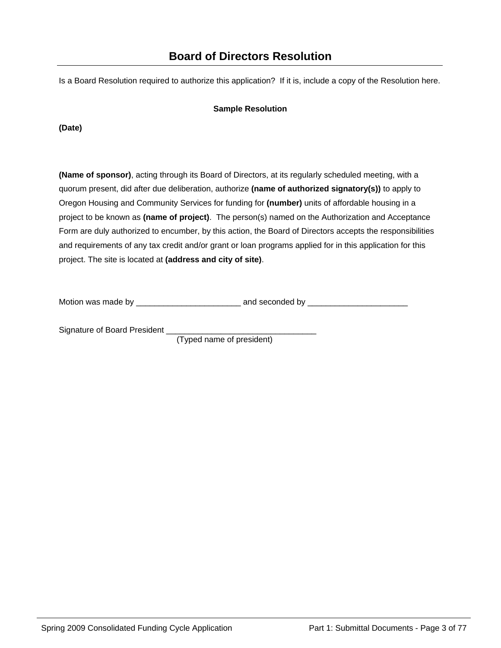Is a Board Resolution required to authorize this application? If it is, include a copy of the Resolution here.

#### **Sample Resolution**

**(Date)**

**(Name of sponsor)**, acting through its Board of Directors, at its regularly scheduled meeting, with a quorum present, did after due deliberation, authorize **(name of authorized signatory(s))** to apply to Oregon Housing and Community Services for funding for **(number)** units of affordable housing in a project to be known as **(name of project)**. The person(s) named on the Authorization and Acceptance Form are duly authorized to encumber, by this action, the Board of Directors accepts the responsibilities and requirements of any tax credit and/or grant or loan programs applied for in this application for this project. The site is located at **(address and city of site)**.

Motion was made by \_\_\_\_\_\_\_\_\_\_\_\_\_\_\_\_\_\_\_\_\_\_\_ and seconded by \_\_\_\_\_\_\_\_\_\_\_\_\_\_\_\_\_\_\_\_\_\_

Signature of Board President

(Typed name of president)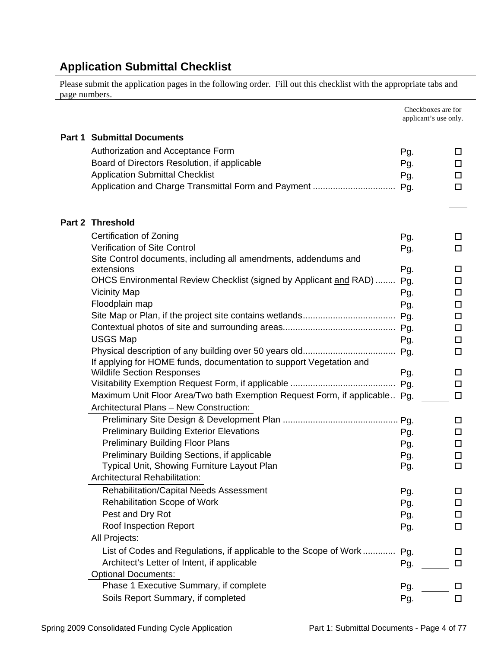### **Application Submittal Checklist**

Please submit the application pages in the following order. Fill out this checklist with the appropriate tabs and page numbers.

|                                                                            | Checkboxes are for<br>applicant's use only. |             |
|----------------------------------------------------------------------------|---------------------------------------------|-------------|
| <b>Part 1 Submittal Documents</b>                                          |                                             |             |
| Authorization and Acceptance Form                                          | Pg.                                         | ப           |
| Board of Directors Resolution, if applicable                               | Pg.                                         | □           |
| <b>Application Submittal Checklist</b>                                     | Pg.                                         | □           |
| Application and Charge Transmittal Form and Payment                        | Pg.                                         | □           |
|                                                                            |                                             |             |
| <b>Part 2 Threshold</b>                                                    |                                             |             |
| Certification of Zoning                                                    | Pg.                                         | ப           |
| <b>Verification of Site Control</b>                                        | Pg.                                         | $\Box$      |
| Site Control documents, including all amendments, addendums and            |                                             |             |
| extensions                                                                 | Pg.                                         | □           |
| OHCS Environmental Review Checklist (signed by Applicant and RAD)          | Pg.                                         | □           |
| <b>Vicinity Map</b><br>Floodplain map                                      | Pg.                                         | □           |
|                                                                            | Pg.                                         | □           |
|                                                                            |                                             | $\Box$<br>□ |
| <b>USGS Map</b>                                                            | Pg.                                         | $\Box$      |
|                                                                            | Pg.                                         | $\Box$      |
| If applying for HOME funds, documentation to support Vegetation and        |                                             |             |
| <b>Wildlife Section Responses</b>                                          | Pg.                                         | □           |
|                                                                            | Pg.                                         | $\Box$      |
| Maximum Unit Floor Area/Two bath Exemption Request Form, if applicable Pq. |                                             | $\Box$      |
| Architectural Plans - New Construction:                                    |                                             |             |
|                                                                            | Pg.                                         | □           |
| <b>Preliminary Building Exterior Elevations</b>                            | Pg.                                         | □           |
| <b>Preliminary Building Floor Plans</b>                                    | Pg.                                         | □           |
| Preliminary Building Sections, if applicable                               | Pg.                                         | □           |
| Typical Unit, Showing Furniture Layout Plan                                | Pg.                                         | □           |
| Architectural Rehabilitation:                                              |                                             |             |
| <b>Rehabilitation/Capital Needs Assessment</b>                             | Pg.                                         | ப           |
| <b>Rehabilitation Scope of Work</b>                                        | Pg.                                         | □           |
| Pest and Dry Rot                                                           | Pg.                                         | ப           |
| Roof Inspection Report                                                     | Pg.                                         | □           |
| All Projects:                                                              |                                             |             |
| List of Codes and Regulations, if applicable to the Scope of Work          | Pg.                                         | ப           |
| Architect's Letter of Intent, if applicable                                | Pg.                                         | □           |
| <b>Optional Documents:</b><br>Phase 1 Executive Summary, if complete       | Pg.                                         |             |
| Soils Report Summary, if completed                                         | Pg.                                         | ப<br>□      |
|                                                                            |                                             |             |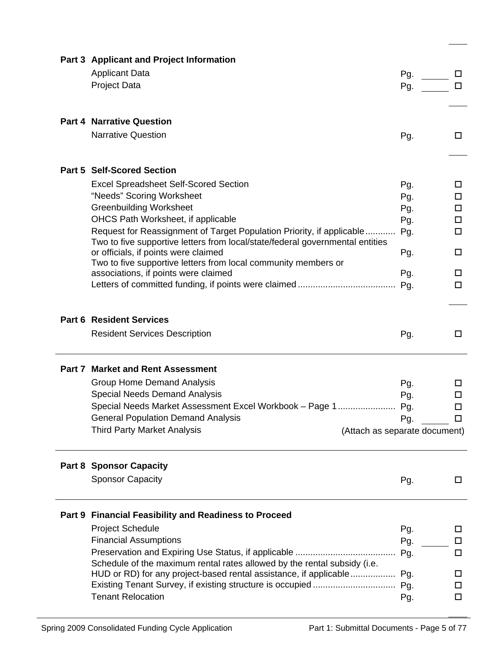| Part 3 Applicant and Project Information                                                                              |     |                  |
|-----------------------------------------------------------------------------------------------------------------------|-----|------------------|
| <b>Applicant Data</b>                                                                                                 | Pg. |                  |
| <b>Project Data</b>                                                                                                   | Pg. | □                |
|                                                                                                                       |     |                  |
| <b>Part 4 Narrative Question</b>                                                                                      |     |                  |
|                                                                                                                       |     |                  |
| <b>Narrative Question</b>                                                                                             | Pg. | 0                |
| <b>Part 5 Self-Scored Section</b>                                                                                     |     |                  |
|                                                                                                                       |     |                  |
| <b>Excel Spreadsheet Self-Scored Section</b>                                                                          | Pg. | □                |
| "Needs" Scoring Worksheet                                                                                             | Pg. | □                |
| <b>Greenbuilding Worksheet</b>                                                                                        | Pg. | $\Box$           |
| OHCS Path Worksheet, if applicable                                                                                    | Pg. | 0                |
| Request for Reassignment of Target Population Priority, if applicable                                                 | Pg. | □                |
| Two to five supportive letters from local/state/federal governmental entities<br>or officials, if points were claimed | Pg. | □                |
| Two to five supportive letters from local community members or                                                        |     |                  |
| associations, if points were claimed                                                                                  | Pg. | □                |
|                                                                                                                       | Pg. | 0                |
|                                                                                                                       |     |                  |
| <b>Part 6 Resident Services</b>                                                                                       |     |                  |
| <b>Resident Services Description</b>                                                                                  | Pg. | □                |
|                                                                                                                       |     |                  |
| <b>Part 7 Market and Rent Assessment</b>                                                                              |     |                  |
|                                                                                                                       |     |                  |
| <b>Group Home Demand Analysis</b><br><b>Special Needs Demand Analysis</b>                                             | Pg. | ப                |
| Special Needs Market Assessment Excel Workbook - Page 1                                                               | Pg. | □                |
| <b>General Population Demand Analysis</b>                                                                             | Pg. | $\Box$<br>$\Box$ |
| <b>Third Party Market Analysis</b><br>(Attach as separate document)                                                   | Pg. |                  |
|                                                                                                                       |     |                  |
| <b>Part 8 Sponsor Capacity</b>                                                                                        |     |                  |
| <b>Sponsor Capacity</b>                                                                                               | Pg. | □                |
|                                                                                                                       |     |                  |
| Part 9 Financial Feasibility and Readiness to Proceed                                                                 |     |                  |
| <b>Project Schedule</b>                                                                                               | Pg. | ப                |
| <b>Financial Assumptions</b>                                                                                          | Pg. | □                |
|                                                                                                                       | Pg. | □                |
| Schedule of the maximum rental rates allowed by the rental subsidy (i.e.                                              |     |                  |
| HUD or RD) for any project-based rental assistance, if applicable                                                     | Pg. | □                |
|                                                                                                                       | Pg. | □                |
| <b>Tenant Relocation</b>                                                                                              | Pg. | □                |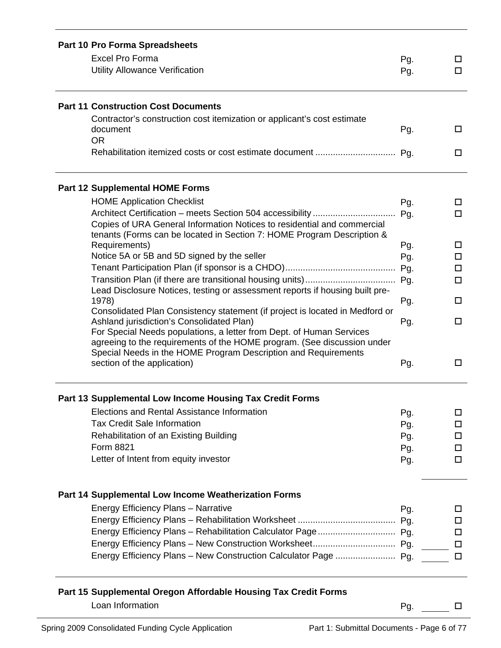| Part 10 Pro Forma Spreadsheets |                                                                                                                                           |     |        |
|--------------------------------|-------------------------------------------------------------------------------------------------------------------------------------------|-----|--------|
|                                | <b>Excel Pro Forma</b>                                                                                                                    | Pg. | ப      |
|                                | <b>Utility Allowance Verification</b>                                                                                                     | Pg. | $\Box$ |
|                                | <b>Part 11 Construction Cost Documents</b>                                                                                                |     |        |
|                                | Contractor's construction cost itemization or applicant's cost estimate                                                                   |     |        |
|                                | document                                                                                                                                  | Pg. | □      |
|                                | <b>OR</b>                                                                                                                                 |     |        |
|                                |                                                                                                                                           |     | □      |
|                                | <b>Part 12 Supplemental HOME Forms</b>                                                                                                    |     |        |
|                                | <b>HOME Application Checklist</b>                                                                                                         | Pg. | □      |
|                                |                                                                                                                                           | Pg. | 0      |
|                                | Copies of URA General Information Notices to residential and commercial                                                                   |     |        |
|                                | tenants (Forms can be located in Section 7: HOME Program Description &                                                                    |     |        |
|                                | Requirements)                                                                                                                             | Pg. | □      |
|                                | Notice 5A or 5B and 5D signed by the seller                                                                                               | Pg. | $\Box$ |
|                                |                                                                                                                                           | Pg. | $\Box$ |
|                                | Lead Disclosure Notices, testing or assessment reports if housing built pre-                                                              | Pg. | $\Box$ |
|                                | 1978)                                                                                                                                     | Pg. | □      |
|                                | Consolidated Plan Consistency statement (if project is located in Medford or                                                              |     |        |
|                                | Ashland jurisdiction's Consolidated Plan)                                                                                                 | Pg. | □      |
|                                | For Special Needs populations, a letter from Dept. of Human Services                                                                      |     |        |
|                                | agreeing to the requirements of the HOME program. (See discussion under<br>Special Needs in the HOME Program Description and Requirements |     |        |
|                                | section of the application)                                                                                                               | Pg. | □      |
|                                |                                                                                                                                           |     |        |
|                                | Part 13 Supplemental Low Income Housing Tax Credit Forms                                                                                  |     |        |
|                                | Elections and Rental Assistance Information                                                                                               | Pg. | □      |
|                                | <b>Tax Credit Sale Information</b>                                                                                                        | Pg. | □      |
|                                | <b>Rehabilitation of an Existing Building</b>                                                                                             | Pg. | □      |
|                                | Form 8821                                                                                                                                 | Pg. | □      |
|                                | Letter of Intent from equity investor                                                                                                     | Pg. | □      |
|                                | Part 14 Supplemental Low Income Weatherization Forms                                                                                      |     |        |
|                                | Energy Efficiency Plans - Narrative                                                                                                       | Pg. | ப      |
|                                |                                                                                                                                           |     | □      |
|                                |                                                                                                                                           |     | □      |
|                                |                                                                                                                                           |     | □      |
|                                |                                                                                                                                           |     | □      |
|                                |                                                                                                                                           |     |        |
|                                | Part 15 Supplemental Oregon Affordable Housing Tax Credit Forms                                                                           |     |        |
|                                | Loan Information                                                                                                                          | Pg. | □      |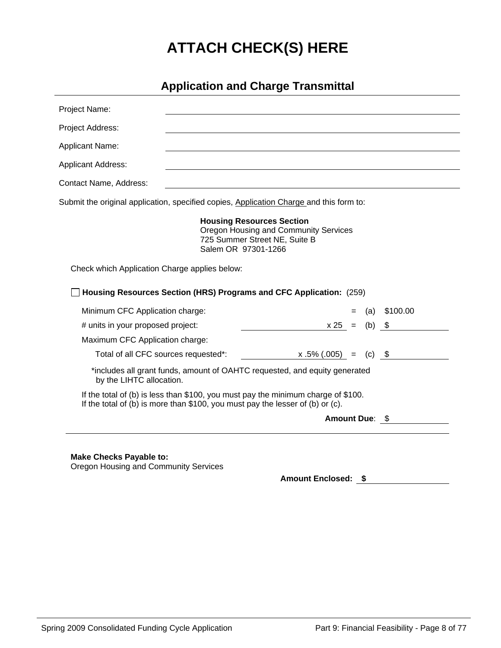# **ATTACH CHECK(S) HERE**

### **Application and Charge Transmittal**

| Project Name:                                                                           |                                                                                                                                                                     |                                       |          |          |
|-----------------------------------------------------------------------------------------|---------------------------------------------------------------------------------------------------------------------------------------------------------------------|---------------------------------------|----------|----------|
| Project Address:                                                                        |                                                                                                                                                                     |                                       |          |          |
| Applicant Name:                                                                         |                                                                                                                                                                     |                                       |          |          |
| <b>Applicant Address:</b>                                                               |                                                                                                                                                                     |                                       |          |          |
| Contact Name, Address:                                                                  |                                                                                                                                                                     |                                       |          |          |
| Submit the original application, specified copies, Application Charge and this form to: |                                                                                                                                                                     |                                       |          |          |
|                                                                                         | <b>Housing Resources Section</b><br>725 Summer Street NE, Suite B<br>Salem OR 97301-1266                                                                            | Oregon Housing and Community Services |          |          |
| Check which Application Charge applies below:                                           |                                                                                                                                                                     |                                       |          |          |
|                                                                                         | Housing Resources Section (HRS) Programs and CFC Application: (259)                                                                                                 |                                       |          |          |
| Minimum CFC Application charge:                                                         |                                                                                                                                                                     |                                       | (a)      | \$100.00 |
| # units in your proposed project:                                                       |                                                                                                                                                                     | $x 25 =$                              | $(b)$ \$ |          |
| Maximum CFC Application charge:                                                         |                                                                                                                                                                     |                                       |          |          |
| Total of all CFC sources requested*:                                                    |                                                                                                                                                                     | $x.5\%(.005) =$                       | $(c)$ \$ |          |
| by the LIHTC allocation.                                                                | *includes all grant funds, amount of OAHTC requested, and equity generated                                                                                          |                                       |          |          |
|                                                                                         | If the total of (b) is less than \$100, you must pay the minimum charge of \$100.<br>If the total of (b) is more than \$100, you must pay the lesser of (b) or (c). |                                       |          |          |
|                                                                                         |                                                                                                                                                                     | Amount Due: \$                        |          |          |
|                                                                                         |                                                                                                                                                                     |                                       |          |          |
|                                                                                         |                                                                                                                                                                     |                                       |          |          |
| <b>Make Checks Payable to:</b><br>متحاكم المستحسن المتحال الساحية                       |                                                                                                                                                                     |                                       |          |          |

Oregon Housing and Community Services

**Amount Enclosed: \$**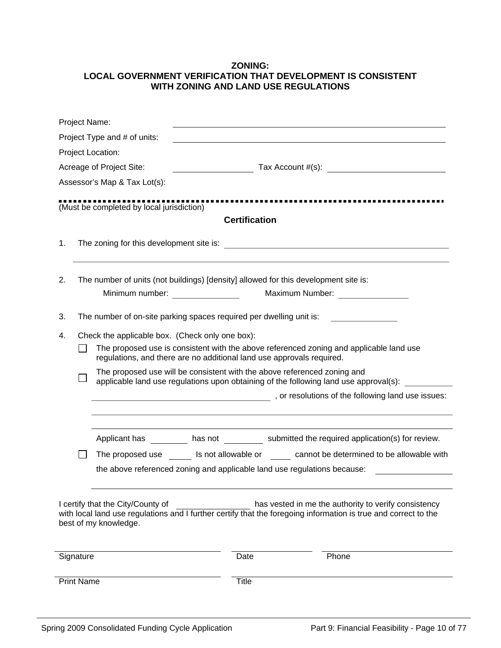#### **ZONING: LOCAL GOVERNMENT VERIFICATION THAT DEVELOPMENT IS CONSISTENT WITH ZONING AND LAND USE REGULATIONS**

| Project Name:     |                                                            |                                                                                                                                                                                                                                |                                                                                                                                                                         |  |  |  |  |
|-------------------|------------------------------------------------------------|--------------------------------------------------------------------------------------------------------------------------------------------------------------------------------------------------------------------------------|-------------------------------------------------------------------------------------------------------------------------------------------------------------------------|--|--|--|--|
|                   | Project Type and # of units:                               |                                                                                                                                                                                                                                |                                                                                                                                                                         |  |  |  |  |
|                   | Project Location:                                          |                                                                                                                                                                                                                                |                                                                                                                                                                         |  |  |  |  |
|                   | Acreage of Project Site:                                   |                                                                                                                                                                                                                                | $\frac{1}{2}$ Tax Account #(s):                                                                                                                                         |  |  |  |  |
|                   | Assessor's Map & Tax Lot(s):                               |                                                                                                                                                                                                                                |                                                                                                                                                                         |  |  |  |  |
|                   |                                                            |                                                                                                                                                                                                                                |                                                                                                                                                                         |  |  |  |  |
|                   | (Must be completed by local jurisdiction)                  |                                                                                                                                                                                                                                |                                                                                                                                                                         |  |  |  |  |
|                   |                                                            | <b>Certification</b>                                                                                                                                                                                                           |                                                                                                                                                                         |  |  |  |  |
| 1.                |                                                            |                                                                                                                                                                                                                                |                                                                                                                                                                         |  |  |  |  |
|                   |                                                            |                                                                                                                                                                                                                                |                                                                                                                                                                         |  |  |  |  |
| 2.                |                                                            |                                                                                                                                                                                                                                | The number of units (not buildings) [density] allowed for this development site is:                                                                                     |  |  |  |  |
|                   |                                                            | Minimum number: Windows and the control of the control of the control of the control of the control of the control of the control of the control of the control of the control of the control of the control of the control of | Maximum Number: National State of the Maximum Number:                                                                                                                   |  |  |  |  |
|                   |                                                            |                                                                                                                                                                                                                                |                                                                                                                                                                         |  |  |  |  |
| 3.                |                                                            | The number of on-site parking spaces required per dwelling unit is:                                                                                                                                                            |                                                                                                                                                                         |  |  |  |  |
| 4.                | Check the applicable box. (Check only one box):            |                                                                                                                                                                                                                                |                                                                                                                                                                         |  |  |  |  |
|                   |                                                            | The proposed use is consistent with the above referenced zoning and applicable land use<br>regulations, and there are no additional land use approvals required.                                                               |                                                                                                                                                                         |  |  |  |  |
|                   |                                                            |                                                                                                                                                                                                                                | The proposed use will be consistent with the above referenced zoning and<br>applicable land use regulations upon obtaining of the following land use approval(s):       |  |  |  |  |
|                   |                                                            |                                                                                                                                                                                                                                | general contract of the following land use issues:                                                                                                                      |  |  |  |  |
|                   |                                                            |                                                                                                                                                                                                                                |                                                                                                                                                                         |  |  |  |  |
|                   |                                                            |                                                                                                                                                                                                                                | Applicant has _________ has not __________ submitted the required application(s) for review.                                                                            |  |  |  |  |
|                   |                                                            |                                                                                                                                                                                                                                | The proposed use ls not allowable or cannot be determined to be allowable with                                                                                          |  |  |  |  |
|                   |                                                            |                                                                                                                                                                                                                                | the above referenced zoning and applicable land use regulations because:                                                                                                |  |  |  |  |
|                   |                                                            |                                                                                                                                                                                                                                |                                                                                                                                                                         |  |  |  |  |
|                   | I certify that the City/County of<br>best of my knowledge. |                                                                                                                                                                                                                                | has vested in me the authority to verify consistency<br>with local land use regulations and I further certify that the foregoing information is true and correct to the |  |  |  |  |
|                   |                                                            |                                                                                                                                                                                                                                |                                                                                                                                                                         |  |  |  |  |
| Signature         |                                                            | Date                                                                                                                                                                                                                           | Phone                                                                                                                                                                   |  |  |  |  |
| <b>Print Name</b> |                                                            | <b>Title</b>                                                                                                                                                                                                                   |                                                                                                                                                                         |  |  |  |  |
|                   |                                                            |                                                                                                                                                                                                                                |                                                                                                                                                                         |  |  |  |  |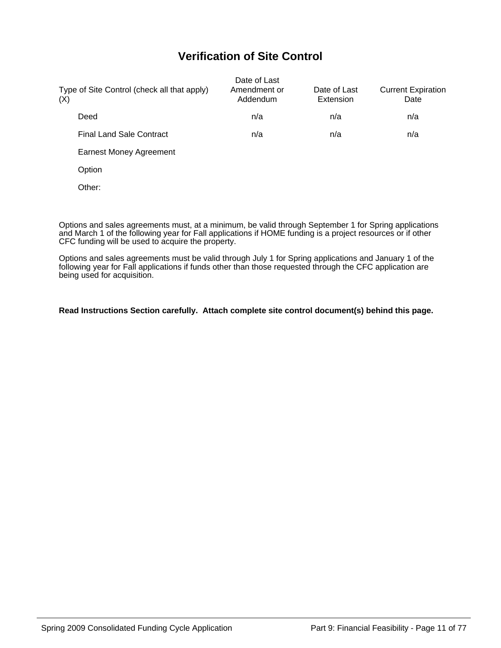### **Verification of Site Control**

| Type of Site Control (check all that apply)<br>(X) | Date of Last<br>Amendment or<br>Addendum | Date of Last<br>Extension | <b>Current Expiration</b><br>Date |
|----------------------------------------------------|------------------------------------------|---------------------------|-----------------------------------|
| Deed                                               | n/a                                      | n/a                       | n/a                               |
| <b>Final Land Sale Contract</b>                    | n/a                                      | n/a                       | n/a                               |
| <b>Earnest Money Agreement</b>                     |                                          |                           |                                   |
| Option                                             |                                          |                           |                                   |
| Other:                                             |                                          |                           |                                   |
|                                                    |                                          |                           |                                   |

Options and sales agreements must, at a minimum, be valid through September 1 for Spring applications and March 1 of the following year for Fall applications if HOME funding is a project resources or if other CFC funding will be used to acquire the property.

Options and sales agreements must be valid through July 1 for Spring applications and January 1 of the following year for Fall applications if funds other than those requested through the CFC application are being used for acquisition.

#### **Read Instructions Section carefully. Attach complete site control document(s) behind this page.**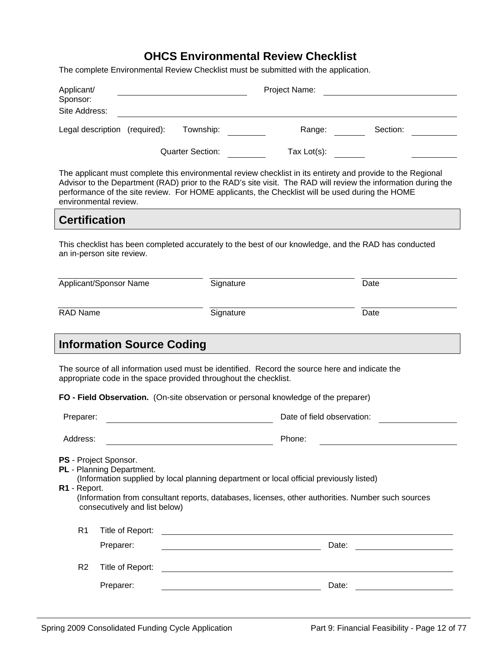### **OHCS Environmental Review Checklist**

The complete Environmental Review Checklist must be submitted with the application.

| Applicant/           |                                                                                     |                                                                  | Project Name:                                                                                                                                                                                |                                                                                                                                                                                                                              |
|----------------------|-------------------------------------------------------------------------------------|------------------------------------------------------------------|----------------------------------------------------------------------------------------------------------------------------------------------------------------------------------------------|------------------------------------------------------------------------------------------------------------------------------------------------------------------------------------------------------------------------------|
| Sponsor:             |                                                                                     |                                                                  |                                                                                                                                                                                              |                                                                                                                                                                                                                              |
| Site Address:        |                                                                                     |                                                                  |                                                                                                                                                                                              |                                                                                                                                                                                                                              |
|                      | Legal description (required):                                                       | Township:                                                        | Range:                                                                                                                                                                                       | Section:                                                                                                                                                                                                                     |
|                      |                                                                                     | <b>Quarter Section:</b>                                          | Tax $Lot(s)$ :                                                                                                                                                                               |                                                                                                                                                                                                                              |
|                      | environmental review.                                                               |                                                                  | performance of the site review. For HOME applicants, the Checklist will be used during the HOME                                                                                              | The applicant must complete this environmental review checklist in its entirety and provide to the Regional<br>Advisor to the Department (RAD) prior to the RAD's site visit. The RAD will review the information during the |
| <b>Certification</b> |                                                                                     |                                                                  |                                                                                                                                                                                              |                                                                                                                                                                                                                              |
|                      | an in-person site review.                                                           |                                                                  |                                                                                                                                                                                              | This checklist has been completed accurately to the best of our knowledge, and the RAD has conducted                                                                                                                         |
|                      | Applicant/Sponsor Name                                                              | Signature                                                        |                                                                                                                                                                                              | Date                                                                                                                                                                                                                         |
| <b>RAD Name</b>      |                                                                                     | Signature                                                        |                                                                                                                                                                                              | Date                                                                                                                                                                                                                         |
|                      | <b>Information Source Coding</b>                                                    |                                                                  |                                                                                                                                                                                              |                                                                                                                                                                                                                              |
|                      |                                                                                     |                                                                  |                                                                                                                                                                                              |                                                                                                                                                                                                                              |
|                      |                                                                                     | appropriate code in the space provided throughout the checklist. | The source of all information used must be identified. Record the source here and indicate the                                                                                               |                                                                                                                                                                                                                              |
|                      |                                                                                     |                                                                  | FO - Field Observation. (On-site observation or personal knowledge of the preparer)                                                                                                          |                                                                                                                                                                                                                              |
| Preparer:            |                                                                                     |                                                                  | Date of field observation:                                                                                                                                                                   |                                                                                                                                                                                                                              |
| Address:             |                                                                                     |                                                                  | Phone:                                                                                                                                                                                       |                                                                                                                                                                                                                              |
| R1 - Report.         | PS - Project Sponsor.<br>PL - Planning Department.<br>consecutively and list below) |                                                                  | (Information supplied by local planning department or local official previously listed)<br>(Information from consultant reports, databases, licenses, other authorities. Number such sources |                                                                                                                                                                                                                              |
| R <sub>1</sub>       | Title of Report:                                                                    |                                                                  | <u> 1989 - Andrea Aonaichte, ann an t-Èireann an t-Èireann an t-Èireann an t-Èireann an t-Èireann an t-Èireann an </u>                                                                       |                                                                                                                                                                                                                              |
|                      | Preparer:                                                                           |                                                                  | Date:                                                                                                                                                                                        |                                                                                                                                                                                                                              |
| R <sub>2</sub>       | Title of Report:                                                                    |                                                                  |                                                                                                                                                                                              |                                                                                                                                                                                                                              |
|                      | Preparer:                                                                           |                                                                  | Date:                                                                                                                                                                                        |                                                                                                                                                                                                                              |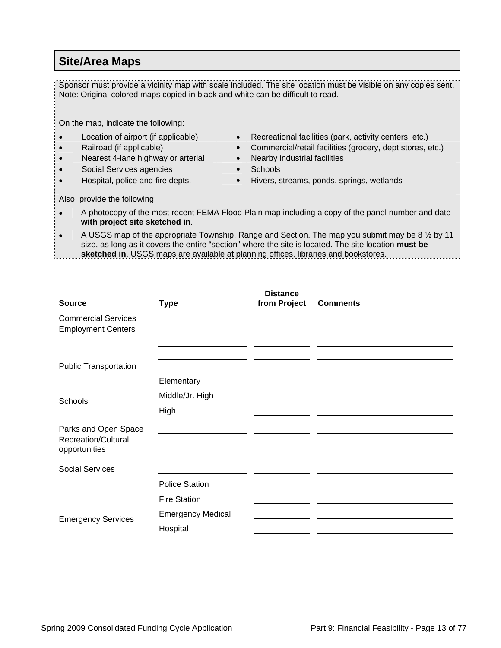#### **Site/Area Maps**

Sponsor must provide a vicinity map with scale included. The site location must be visible on any copies sent. Note: Original colored maps copied in black and white can be difficult to read.

On the map, indicate the following:

- 
- 
- 
- Social Services agencies Schools
- 
- Location of airport (if applicable) Recreational facilities (park, activity centers, etc.)
- Railroad (if applicable) Commercial/retail facilities (grocery, dept stores, etc.)
	- Nearest 4-lane highway or arterial Nearby industrial facilities
		-
	- Hospital, police and fire depts. Rivers, streams, ponds, springs, wetlands

Also, provide the following:

• A photocopy of the most recent FEMA Flood Plain map including a copy of the panel number and date **with project site sketched in**.

• A USGS map of the appropriate Township, Range and Section. The map you submit may be 8 ½ by 11 size, as long as it covers the entire "section" where the site is located. The site location **must be sketched in**. USGS maps are available at planning offices, libraries and bookstores.

| <b>Source</b>                                                       | <b>Type</b>              | <b>Distance</b><br>from Project | <b>Comments</b> |
|---------------------------------------------------------------------|--------------------------|---------------------------------|-----------------|
| <b>Commercial Services</b><br><b>Employment Centers</b>             |                          |                                 |                 |
|                                                                     |                          |                                 |                 |
| <b>Public Transportation</b>                                        |                          |                                 |                 |
|                                                                     | Elementary               |                                 |                 |
| Schools                                                             | Middle/Jr. High          |                                 |                 |
|                                                                     | High                     |                                 |                 |
| Parks and Open Space<br><b>Recreation/Cultural</b><br>opportunities |                          |                                 |                 |
| <b>Social Services</b>                                              |                          |                                 |                 |
|                                                                     | <b>Police Station</b>    |                                 |                 |
|                                                                     | <b>Fire Station</b>      |                                 |                 |
|                                                                     | <b>Emergency Medical</b> |                                 |                 |
| <b>Emergency Services</b>                                           | Hospital                 |                                 |                 |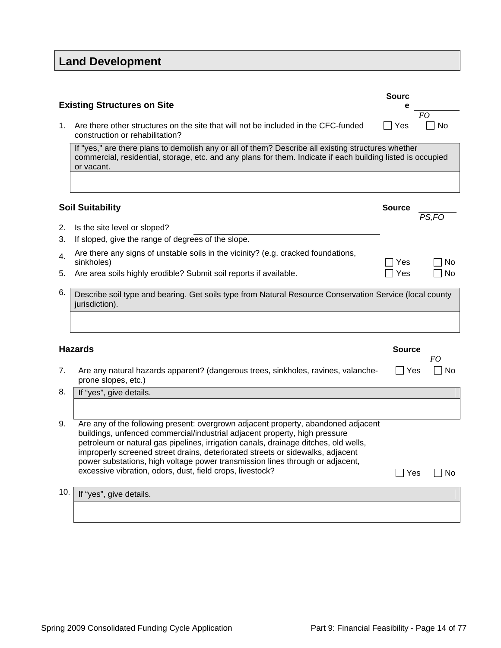# **Land Development**

|     | <b>Existing Structures on Site</b>                                                                                                                                                                                                                                                                                                                                                                                                                                                     | <b>Sourc</b><br>е |           |
|-----|----------------------------------------------------------------------------------------------------------------------------------------------------------------------------------------------------------------------------------------------------------------------------------------------------------------------------------------------------------------------------------------------------------------------------------------------------------------------------------------|-------------------|-----------|
| 1.  | Are there other structures on the site that will not be included in the CFC-funded<br>construction or rehabilitation?                                                                                                                                                                                                                                                                                                                                                                  | Yes               | FO<br>No  |
|     | If "yes," are there plans to demolish any or all of them? Describe all existing structures whether<br>commercial, residential, storage, etc. and any plans for them. Indicate if each building listed is occupied<br>or vacant.                                                                                                                                                                                                                                                        |                   |           |
|     | <b>Soil Suitability</b>                                                                                                                                                                                                                                                                                                                                                                                                                                                                | <b>Source</b>     |           |
|     |                                                                                                                                                                                                                                                                                                                                                                                                                                                                                        |                   | PS,FO     |
| 2.  | Is the site level or sloped?                                                                                                                                                                                                                                                                                                                                                                                                                                                           |                   |           |
| 3.  | If sloped, give the range of degrees of the slope.                                                                                                                                                                                                                                                                                                                                                                                                                                     |                   |           |
| 4.  | Are there any signs of unstable soils in the vicinity? (e.g. cracked foundations,<br>sinkholes)                                                                                                                                                                                                                                                                                                                                                                                        | Yes               | No        |
| 5.  | Are area soils highly erodible? Submit soil reports if available.                                                                                                                                                                                                                                                                                                                                                                                                                      | Yes               | <b>No</b> |
| 6.  | Describe soil type and bearing. Get soils type from Natural Resource Conservation Service (local county<br>jurisdiction).                                                                                                                                                                                                                                                                                                                                                              |                   |           |
|     | <b>Hazards</b>                                                                                                                                                                                                                                                                                                                                                                                                                                                                         | <b>Source</b>     |           |
|     |                                                                                                                                                                                                                                                                                                                                                                                                                                                                                        |                   | FO        |
| 7.  | Are any natural hazards apparent? (dangerous trees, sinkholes, ravines, valanche-<br>prone slopes, etc.)                                                                                                                                                                                                                                                                                                                                                                               | Yes               | No        |
| 8.  | If "yes", give details.                                                                                                                                                                                                                                                                                                                                                                                                                                                                |                   |           |
|     |                                                                                                                                                                                                                                                                                                                                                                                                                                                                                        |                   |           |
| 9.  | Are any of the following present: overgrown adjacent property, abandoned adjacent<br>buildings, unfenced commercial/industrial adjacent property, high pressure<br>petroleum or natural gas pipelines, irrigation canals, drainage ditches, old wells,<br>improperly screened street drains, deteriorated streets or sidewalks, adjacent<br>power substations, high voltage power transmission lines through or adjacent,<br>excessive vibration, odors, dust, field crops, livestock? | $\Box$ Yes        | No        |
| 10. | If "yes", give details.                                                                                                                                                                                                                                                                                                                                                                                                                                                                |                   |           |
|     |                                                                                                                                                                                                                                                                                                                                                                                                                                                                                        |                   |           |
|     |                                                                                                                                                                                                                                                                                                                                                                                                                                                                                        |                   |           |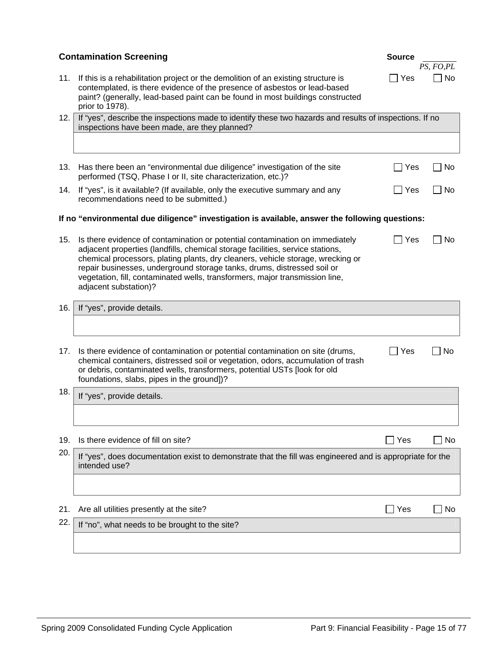|     | <b>Contamination Screening</b>                                                                                                                                                                                                                                                                                                                                                                                                        | <b>Source</b> | PS, FO, PL |
|-----|---------------------------------------------------------------------------------------------------------------------------------------------------------------------------------------------------------------------------------------------------------------------------------------------------------------------------------------------------------------------------------------------------------------------------------------|---------------|------------|
| 11. | If this is a rehabilitation project or the demolition of an existing structure is<br>contemplated, is there evidence of the presence of asbestos or lead-based<br>paint? (generally, lead-based paint can be found in most buildings constructed<br>prior to 1978).                                                                                                                                                                   | Yes           | <b>No</b>  |
| 12. | If "yes", describe the inspections made to identify these two hazards and results of inspections. If no<br>inspections have been made, are they planned?                                                                                                                                                                                                                                                                              |               |            |
|     |                                                                                                                                                                                                                                                                                                                                                                                                                                       |               |            |
| 13. | Has there been an "environmental due diligence" investigation of the site<br>performed (TSQ, Phase I or II, site characterization, etc.)?                                                                                                                                                                                                                                                                                             | ∐ Yes         | l No       |
| 14. | If "yes", is it available? (If available, only the executive summary and any<br>recommendations need to be submitted.)                                                                                                                                                                                                                                                                                                                | ∐ Yes         | No         |
|     | If no "environmental due diligence" investigation is available, answer the following questions:                                                                                                                                                                                                                                                                                                                                       |               |            |
| 15. | Is there evidence of contamination or potential contamination on immediately<br>adjacent properties (landfills, chemical storage facilities, service stations,<br>chemical processors, plating plants, dry cleaners, vehicle storage, wrecking or<br>repair businesses, underground storage tanks, drums, distressed soil or<br>vegetation, fill, contaminated wells, transformers, major transmission line,<br>adjacent substation)? | l Yes         | No         |
| 16. | If "yes", provide details.                                                                                                                                                                                                                                                                                                                                                                                                            |               |            |
|     |                                                                                                                                                                                                                                                                                                                                                                                                                                       |               |            |
| 17. | Is there evidence of contamination or potential contamination on site (drums,<br>chemical containers, distressed soil or vegetation, odors, accumulation of trash<br>or debris, contaminated wells, transformers, potential USTs [look for old<br>foundations, slabs, pipes in the ground])?                                                                                                                                          | $\exists$ Yes | No         |
| 18. | If "yes", provide details.                                                                                                                                                                                                                                                                                                                                                                                                            |               |            |
|     |                                                                                                                                                                                                                                                                                                                                                                                                                                       |               |            |
| 19. | Is there evidence of fill on site?                                                                                                                                                                                                                                                                                                                                                                                                    | Yes           | No         |
| 20. | If "yes", does documentation exist to demonstrate that the fill was engineered and is appropriate for the<br>intended use?                                                                                                                                                                                                                                                                                                            |               |            |
|     |                                                                                                                                                                                                                                                                                                                                                                                                                                       |               |            |
| 21. | Are all utilities presently at the site?                                                                                                                                                                                                                                                                                                                                                                                              | Yes           | No         |
| 22. | If "no", what needs to be brought to the site?                                                                                                                                                                                                                                                                                                                                                                                        |               |            |
|     |                                                                                                                                                                                                                                                                                                                                                                                                                                       |               |            |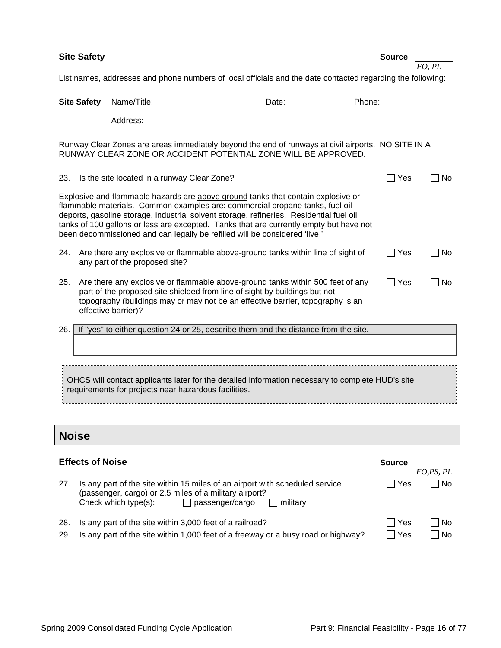| <b>Site Safety</b>                                                                                                                                       |                         |                                                                                                                                                                                                                                                                                                                                                                                                                                     |        |               | FO, PL    |  |  |
|----------------------------------------------------------------------------------------------------------------------------------------------------------|-------------------------|-------------------------------------------------------------------------------------------------------------------------------------------------------------------------------------------------------------------------------------------------------------------------------------------------------------------------------------------------------------------------------------------------------------------------------------|--------|---------------|-----------|--|--|
| List names, addresses and phone numbers of local officials and the date contacted regarding the following:                                               |                         |                                                                                                                                                                                                                                                                                                                                                                                                                                     |        |               |           |  |  |
|                                                                                                                                                          | <b>Site Safety</b>      | Name/Title:<br>Date: and the state of the state of the state of the state of the state of the state of the state of the state                                                                                                                                                                                                                                                                                                       | Phone: |               |           |  |  |
|                                                                                                                                                          |                         | Address:                                                                                                                                                                                                                                                                                                                                                                                                                            |        |               |           |  |  |
|                                                                                                                                                          |                         | Runway Clear Zones are areas immediately beyond the end of runways at civil airports. NO SITE IN A<br>RUNWAY CLEAR ZONE OR ACCIDENT POTENTIAL ZONE WILL BE APPROVED.                                                                                                                                                                                                                                                                |        |               |           |  |  |
| 23.                                                                                                                                                      |                         | Is the site located in a runway Clear Zone?                                                                                                                                                                                                                                                                                                                                                                                         |        | Yes           | No.       |  |  |
|                                                                                                                                                          |                         | Explosive and flammable hazards are above ground tanks that contain explosive or<br>flammable materials. Common examples are: commercial propane tanks, fuel oil<br>deports, gasoline storage, industrial solvent storage, refineries. Residential fuel oil<br>tanks of 100 gallons or less are excepted. Tanks that are currently empty but have not<br>been decommissioned and can legally be refilled will be considered 'live.' |        |               |           |  |  |
| 24.                                                                                                                                                      |                         | Are there any explosive or flammable above-ground tanks within line of sight of<br>any part of the proposed site?                                                                                                                                                                                                                                                                                                                   |        | Yes           | No.       |  |  |
| 25.                                                                                                                                                      |                         | Are there any explosive or flammable above-ground tanks within 500 feet of any<br>part of the proposed site shielded from line of sight by buildings but not<br>topography (buildings may or may not be an effective barrier, topography is an<br>effective barrier)?                                                                                                                                                               |        | Yes           | <b>No</b> |  |  |
| 26.                                                                                                                                                      |                         | If "yes" to either question 24 or 25, describe them and the distance from the site.                                                                                                                                                                                                                                                                                                                                                 |        |               |           |  |  |
|                                                                                                                                                          |                         |                                                                                                                                                                                                                                                                                                                                                                                                                                     |        |               |           |  |  |
| OHCS will contact applicants later for the detailed information necessary to complete HUD's site<br>requirements for projects near hazardous facilities. |                         |                                                                                                                                                                                                                                                                                                                                                                                                                                     |        |               |           |  |  |
| <b>Noise</b>                                                                                                                                             |                         |                                                                                                                                                                                                                                                                                                                                                                                                                                     |        |               |           |  |  |
|                                                                                                                                                          | <b>Effects of Noise</b> |                                                                                                                                                                                                                                                                                                                                                                                                                                     |        | <b>Source</b> | FO,PS, PL |  |  |
| 27.                                                                                                                                                      |                         | Is any part of the site within 15 miles of an airport with scheduled service<br>(passenger, cargo) or 2.5 miles of a military airport?<br>Check which type(s):<br>passenger/cargo<br>$\Box$ military<br>$\Box$                                                                                                                                                                                                                      |        | Yes           | No        |  |  |
| 28.<br>29.                                                                                                                                               |                         | Is any part of the site within 3,000 feet of a railroad?<br>Is any part of the site within 1,000 feet of a freeway or a busy road or highway?                                                                                                                                                                                                                                                                                       |        | Yes<br>Yes    | No<br>No  |  |  |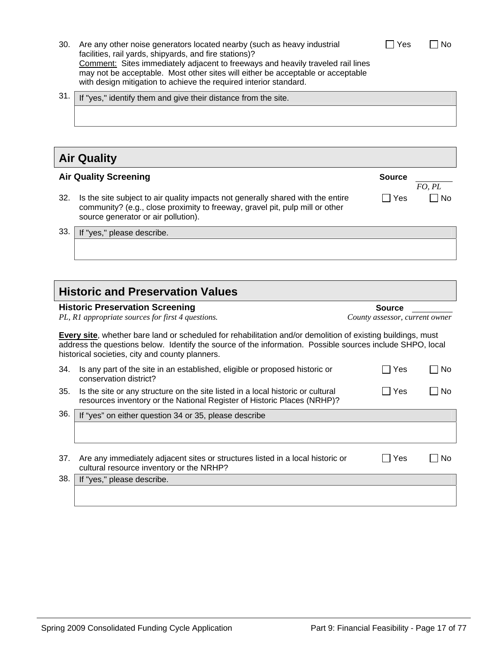- 30. Are any other noise generators located nearby (such as heavy industrial facilities, rail yards, shipyards, and fire stations)? Comment: Sites immediately adjacent to freeways and heavily traveled rail lines may not be acceptable. Most other sites will either be acceptable or acceptable with design mitigation to achieve the required interior standard.
- $31.$  If "yes," identify them and give their distance from the site.

### **Air Quality**

#### **Air Quality Screening Source**

- 32. Is the site subject to air quality impacts not generally shared with the entire community? (e.g., close proximity to freeway, gravel pit, pulp mill or other source generator or air pollution).
- 33. If "yes," please describe.

# **Historic and Preservation Values**

| <b>Historic Preservation Screening</b>            | <b>Source</b>    |
|---------------------------------------------------|------------------|
| PL, R1 appropriate sources for first 4 questions. | County assessor, |
|                                                   |                  |

**Every site**, whether bare land or scheduled for rehabilitation and/or demolition of existing buildings, must address the questions below. Identify the source of the information. Possible sources include SHPO, local historical societies, city and county planners.

| 34. | Is any part of the site in an established, eligible or proposed historic or<br>conservation district?                                                      | Yes | <b>No</b> |
|-----|------------------------------------------------------------------------------------------------------------------------------------------------------------|-----|-----------|
| 35. | Is the site or any structure on the site listed in a local historic or cultural<br>resources inventory or the National Register of Historic Places (NRHP)? | Yes | No.       |
| 36. | If "yes" on either question 34 or 35, please describe                                                                                                      |     |           |
|     |                                                                                                                                                            |     |           |
| 37. | Are any immediately adjacent sites or structures listed in a local historic or<br>cultural resource inventory or the NRHP?                                 | Yes | No        |
| 38. | If "yes," please describe.                                                                                                                                 |     |           |
|     |                                                                                                                                                            |     |           |

| Yes | l No |
|-----|------|
|-----|------|

*FO, PL* 

 $\Box$  Yes  $\Box$  No

*PL, R1 appropriate sources for first 4 questions. County assessor, current owner*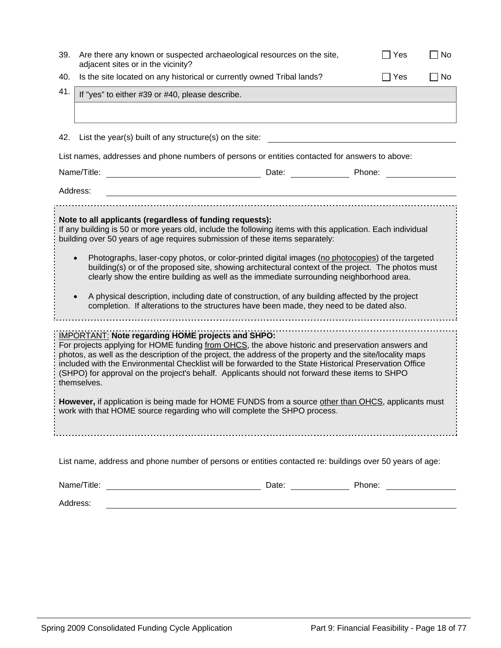| 39.                                                                                                                                                                                                                                                                                                                                                                                                                                                                                                                                                                                                                                                                                                                                                          | Are there any known or suspected archaeological resources on the site,<br>adjacent sites or in the vicinity?                                                                                                                                                                                                                                                                                                                                                                                           | ∏ No<br>Yes |                         |  |  |  |
|--------------------------------------------------------------------------------------------------------------------------------------------------------------------------------------------------------------------------------------------------------------------------------------------------------------------------------------------------------------------------------------------------------------------------------------------------------------------------------------------------------------------------------------------------------------------------------------------------------------------------------------------------------------------------------------------------------------------------------------------------------------|--------------------------------------------------------------------------------------------------------------------------------------------------------------------------------------------------------------------------------------------------------------------------------------------------------------------------------------------------------------------------------------------------------------------------------------------------------------------------------------------------------|-------------|-------------------------|--|--|--|
| 40.                                                                                                                                                                                                                                                                                                                                                                                                                                                                                                                                                                                                                                                                                                                                                          | Is the site located on any historical or currently owned Tribal lands?                                                                                                                                                                                                                                                                                                                                                                                                                                 |             | $\Box$ Yes<br>$\Box$ No |  |  |  |
| 41.                                                                                                                                                                                                                                                                                                                                                                                                                                                                                                                                                                                                                                                                                                                                                          | If "yes" to either #39 or #40, please describe.                                                                                                                                                                                                                                                                                                                                                                                                                                                        |             |                         |  |  |  |
|                                                                                                                                                                                                                                                                                                                                                                                                                                                                                                                                                                                                                                                                                                                                                              |                                                                                                                                                                                                                                                                                                                                                                                                                                                                                                        |             |                         |  |  |  |
|                                                                                                                                                                                                                                                                                                                                                                                                                                                                                                                                                                                                                                                                                                                                                              |                                                                                                                                                                                                                                                                                                                                                                                                                                                                                                        |             |                         |  |  |  |
| 42.                                                                                                                                                                                                                                                                                                                                                                                                                                                                                                                                                                                                                                                                                                                                                          | List the year(s) built of any structure(s) on the site:                                                                                                                                                                                                                                                                                                                                                                                                                                                |             |                         |  |  |  |
|                                                                                                                                                                                                                                                                                                                                                                                                                                                                                                                                                                                                                                                                                                                                                              | List names, addresses and phone numbers of persons or entities contacted for answers to above:                                                                                                                                                                                                                                                                                                                                                                                                         |             |                         |  |  |  |
|                                                                                                                                                                                                                                                                                                                                                                                                                                                                                                                                                                                                                                                                                                                                                              | Name/Title:<br>Date: <u>Date: Phone:</u>                                                                                                                                                                                                                                                                                                                                                                                                                                                               |             |                         |  |  |  |
| Address:                                                                                                                                                                                                                                                                                                                                                                                                                                                                                                                                                                                                                                                                                                                                                     |                                                                                                                                                                                                                                                                                                                                                                                                                                                                                                        |             |                         |  |  |  |
| Note to all applicants (regardless of funding requests):<br>If any building is 50 or more years old, include the following items with this application. Each individual<br>building over 50 years of age requires submission of these items separately:<br>Photographs, laser-copy photos, or color-printed digital images (no photocopies) of the targeted<br>building(s) or of the proposed site, showing architectural context of the project. The photos must<br>clearly show the entire building as well as the immediate surrounding neighborhood area.<br>A physical description, including date of construction, of any building affected by the project<br>completion. If alterations to the structures have been made, they need to be dated also. |                                                                                                                                                                                                                                                                                                                                                                                                                                                                                                        |             |                         |  |  |  |
|                                                                                                                                                                                                                                                                                                                                                                                                                                                                                                                                                                                                                                                                                                                                                              | <b>IMPORTANT: Note regarding HOME projects and SHPO:</b><br>For projects applying for HOME funding from OHCS, the above historic and preservation answers and<br>photos, as well as the description of the project, the address of the property and the site/locality maps<br>included with the Environmental Checklist will be forwarded to the State Historical Preservation Office<br>(SHPO) for approval on the project's behalf. Applicants should not forward these items to SHPO<br>themselves. |             |                         |  |  |  |
| However, if application is being made for HOME FUNDS from a source other than OHCS, applicants must<br>work with that HOME source regarding who will complete the SHPO process.                                                                                                                                                                                                                                                                                                                                                                                                                                                                                                                                                                              |                                                                                                                                                                                                                                                                                                                                                                                                                                                                                                        |             |                         |  |  |  |
|                                                                                                                                                                                                                                                                                                                                                                                                                                                                                                                                                                                                                                                                                                                                                              | List name, address and phone number of persons or entities contacted re: buildings over 50 years of age:                                                                                                                                                                                                                                                                                                                                                                                               |             |                         |  |  |  |
|                                                                                                                                                                                                                                                                                                                                                                                                                                                                                                                                                                                                                                                                                                                                                              |                                                                                                                                                                                                                                                                                                                                                                                                                                                                                                        |             |                         |  |  |  |
|                                                                                                                                                                                                                                                                                                                                                                                                                                                                                                                                                                                                                                                                                                                                                              | Address:                                                                                                                                                                                                                                                                                                                                                                                                                                                                                               |             |                         |  |  |  |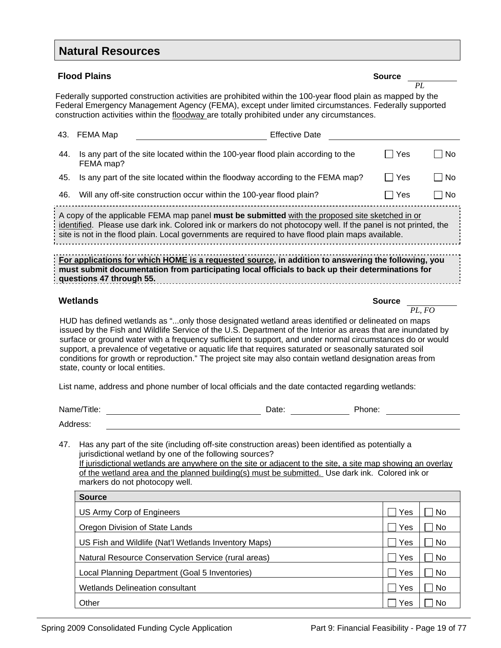### **Natural Resources**

|                                                                                                                                                                                                                                                                                                                                                                                                                                                                                                                                                                                                                                                                                                   | <b>Flood Plains</b>                                                                                                                                                                                                                                                                                                                                                                                                                                                                                                                | <b>Source</b> |           |  |  |
|---------------------------------------------------------------------------------------------------------------------------------------------------------------------------------------------------------------------------------------------------------------------------------------------------------------------------------------------------------------------------------------------------------------------------------------------------------------------------------------------------------------------------------------------------------------------------------------------------------------------------------------------------------------------------------------------------|------------------------------------------------------------------------------------------------------------------------------------------------------------------------------------------------------------------------------------------------------------------------------------------------------------------------------------------------------------------------------------------------------------------------------------------------------------------------------------------------------------------------------------|---------------|-----------|--|--|
|                                                                                                                                                                                                                                                                                                                                                                                                                                                                                                                                                                                                                                                                                                   |                                                                                                                                                                                                                                                                                                                                                                                                                                                                                                                                    |               | PL        |  |  |
|                                                                                                                                                                                                                                                                                                                                                                                                                                                                                                                                                                                                                                                                                                   | Federally supported construction activities are prohibited within the 100-year flood plain as mapped by the<br>Federal Emergency Management Agency (FEMA), except under limited circumstances. Federally supported<br>construction activities within the floodway are totally prohibited under any circumstances.                                                                                                                                                                                                                  |               |           |  |  |
| 43.<br>FEMA Map                                                                                                                                                                                                                                                                                                                                                                                                                                                                                                                                                                                                                                                                                   |                                                                                                                                                                                                                                                                                                                                                                                                                                                                                                                                    |               |           |  |  |
| 44.                                                                                                                                                                                                                                                                                                                                                                                                                                                                                                                                                                                                                                                                                               | Is any part of the site located within the 100-year flood plain according to the<br>FEMA map?                                                                                                                                                                                                                                                                                                                                                                                                                                      | $\Box$ Yes    | No        |  |  |
| 45.                                                                                                                                                                                                                                                                                                                                                                                                                                                                                                                                                                                                                                                                                               | Is any part of the site located within the floodway according to the FEMA map?                                                                                                                                                                                                                                                                                                                                                                                                                                                     | Yes           | No        |  |  |
| 46.                                                                                                                                                                                                                                                                                                                                                                                                                                                                                                                                                                                                                                                                                               | Will any off-site construction occur within the 100-year flood plain?                                                                                                                                                                                                                                                                                                                                                                                                                                                              | Yes           | No        |  |  |
|                                                                                                                                                                                                                                                                                                                                                                                                                                                                                                                                                                                                                                                                                                   | A copy of the applicable FEMA map panel must be submitted with the proposed site sketched in or<br>identified. Please use dark ink. Colored ink or markers do not photocopy well. If the panel is not printed, the<br>site is not in the flood plain. Local governments are required to have flood plain maps available.<br>For applications for which HOME is a requested source, in addition to answering the following, you<br>must submit documentation from participating local officials to back up their determinations for |               |           |  |  |
|                                                                                                                                                                                                                                                                                                                                                                                                                                                                                                                                                                                                                                                                                                   | questions 47 through 55.                                                                                                                                                                                                                                                                                                                                                                                                                                                                                                           |               |           |  |  |
|                                                                                                                                                                                                                                                                                                                                                                                                                                                                                                                                                                                                                                                                                                   | <b>Wetlands</b>                                                                                                                                                                                                                                                                                                                                                                                                                                                                                                                    | <b>Source</b> |           |  |  |
| HUD has defined wetlands as "only those designated wetland areas identified or delineated on maps<br>issued by the Fish and Wildlife Service of the U.S. Department of the Interior as areas that are inundated by<br>surface or ground water with a frequency sufficient to support, and under normal circumstances do or would<br>support, a prevalence of vegetative or aquatic life that requires saturated or seasonally saturated soil<br>conditions for growth or reproduction." The project site may also contain wetland designation areas from<br>state, county or local entities.<br>List name, address and phone number of local officials and the date contacted regarding wetlands: |                                                                                                                                                                                                                                                                                                                                                                                                                                                                                                                                    |               |           |  |  |
|                                                                                                                                                                                                                                                                                                                                                                                                                                                                                                                                                                                                                                                                                                   | Name/Title:<br>Phone:<br>Date:                                                                                                                                                                                                                                                                                                                                                                                                                                                                                                     |               |           |  |  |
|                                                                                                                                                                                                                                                                                                                                                                                                                                                                                                                                                                                                                                                                                                   | Address:                                                                                                                                                                                                                                                                                                                                                                                                                                                                                                                           |               |           |  |  |
| 47.                                                                                                                                                                                                                                                                                                                                                                                                                                                                                                                                                                                                                                                                                               | Has any part of the site (including off-site construction areas) been identified as potentially a<br>jurisdictional wetland by one of the following sources?<br>If jurisdictional wetlands are anywhere on the site or adjacent to the site, a site map showing an overlay<br>of the wetland area and the planned building(s) must be submitted. Use dark ink. Colored ink or<br>markers do not photocopy well.                                                                                                                    |               |           |  |  |
|                                                                                                                                                                                                                                                                                                                                                                                                                                                                                                                                                                                                                                                                                                   | <b>Source</b>                                                                                                                                                                                                                                                                                                                                                                                                                                                                                                                      |               |           |  |  |
|                                                                                                                                                                                                                                                                                                                                                                                                                                                                                                                                                                                                                                                                                                   | US Army Corp of Engineers                                                                                                                                                                                                                                                                                                                                                                                                                                                                                                          | Yes           | No        |  |  |
|                                                                                                                                                                                                                                                                                                                                                                                                                                                                                                                                                                                                                                                                                                   | Oregon Division of State Lands                                                                                                                                                                                                                                                                                                                                                                                                                                                                                                     | Yes           | No        |  |  |
|                                                                                                                                                                                                                                                                                                                                                                                                                                                                                                                                                                                                                                                                                                   | US Fish and Wildlife (Nat'l Wetlands Inventory Maps)                                                                                                                                                                                                                                                                                                                                                                                                                                                                               | Yes           |           |  |  |
|                                                                                                                                                                                                                                                                                                                                                                                                                                                                                                                                                                                                                                                                                                   |                                                                                                                                                                                                                                                                                                                                                                                                                                                                                                                                    |               | No        |  |  |
|                                                                                                                                                                                                                                                                                                                                                                                                                                                                                                                                                                                                                                                                                                   | Natural Resource Conservation Service (rural areas)                                                                                                                                                                                                                                                                                                                                                                                                                                                                                | Yes           | <b>No</b> |  |  |
|                                                                                                                                                                                                                                                                                                                                                                                                                                                                                                                                                                                                                                                                                                   | Local Planning Department (Goal 5 Inventories)                                                                                                                                                                                                                                                                                                                                                                                                                                                                                     | Yes           | <b>No</b> |  |  |
|                                                                                                                                                                                                                                                                                                                                                                                                                                                                                                                                                                                                                                                                                                   | <b>Wetlands Delineation consultant</b>                                                                                                                                                                                                                                                                                                                                                                                                                                                                                             | Yes           | <b>No</b> |  |  |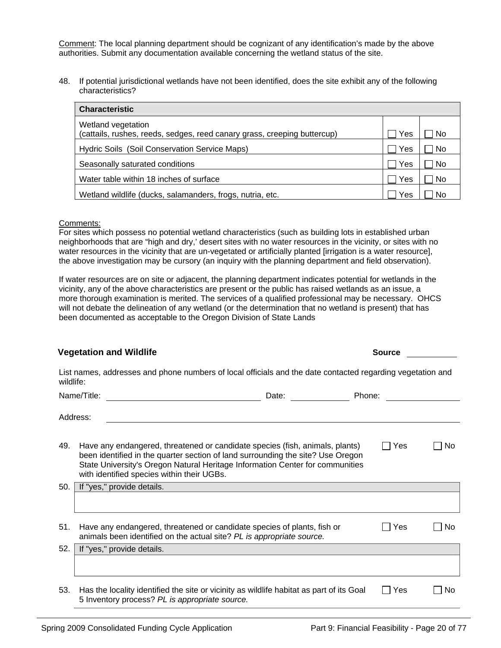Comment: The local planning department should be cognizant of any identification's made by the above authorities. Submit any documentation available concerning the wetland status of the site.

48. If potential jurisdictional wetlands have not been identified, does the site exhibit any of the following characteristics?

| <b>Characteristic</b>                                                                          |     |           |  |  |  |
|------------------------------------------------------------------------------------------------|-----|-----------|--|--|--|
| Wetland vegetation<br>(cattails, rushes, reeds, sedges, reed canary grass, creeping buttercup) | Yes | No.       |  |  |  |
| Hydric Soils (Soil Conservation Service Maps)                                                  | Yes | <b>No</b> |  |  |  |
| Seasonally saturated conditions                                                                | Yes | No.       |  |  |  |
| Water table within 18 inches of surface                                                        | Yes | No        |  |  |  |
| Wetland wildlife (ducks, salamanders, frogs, nutria, etc.                                      | Yes | No        |  |  |  |

#### Comments:

For sites which possess no potential wetland characteristics (such as building lots in established urban neighborhoods that are "high and dry,' desert sites with no water resources in the vicinity, or sites with no water resources in the vicinity that are un-vegetated or artificially planted [irrigation is a water resource], the above investigation may be cursory (an inquiry with the planning department and field observation).

If water resources are on site or adjacent, the planning department indicates potential for wetlands in the vicinity, any of the above characteristics are present or the public has raised wetlands as an issue, a more thorough examination is merited. The services of a qualified professional may be necessary. OHCS will not debate the delineation of any wetland (or the determination that no wetland is present) that has been documented as acceptable to the Oregon Division of State Lands

#### **Vegetation and Wildlife Source**

List names, addresses and phone numbers of local officials and the date contacted regarding vegetation and wildlife:

|     | Name/Title:<br>Date:<br>Phone:                                                                                                                                                                                                                                                                 |     |     |
|-----|------------------------------------------------------------------------------------------------------------------------------------------------------------------------------------------------------------------------------------------------------------------------------------------------|-----|-----|
|     | Address:                                                                                                                                                                                                                                                                                       |     |     |
| 49. | Have any endangered, threatened or candidate species (fish, animals, plants)<br>been identified in the quarter section of land surrounding the site? Use Oregon<br>State University's Oregon Natural Heritage Information Center for communities<br>with identified species within their UGBs. | Yes | No  |
| 50. | If "yes," provide details.                                                                                                                                                                                                                                                                     |     |     |
|     |                                                                                                                                                                                                                                                                                                |     |     |
| 51. | Have any endangered, threatened or candidate species of plants, fish or<br>animals been identified on the actual site? PL is appropriate source.                                                                                                                                               | Yes | No. |
| 52. | If "yes," provide details.                                                                                                                                                                                                                                                                     |     |     |
|     |                                                                                                                                                                                                                                                                                                |     |     |
| 53. | Has the locality identified the site or vicinity as wildlife habitat as part of its Goal<br>5 Inventory process? PL is appropriate source.                                                                                                                                                     | Yes | No. |

Spring 2009 Consolidated Funding Cycle Application Part 9: Financial Feasibility - Page 20 of 77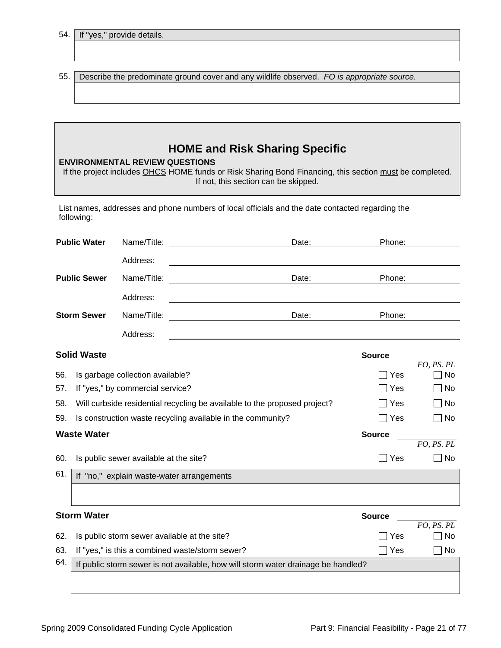54. If "

| 'ves." provide details. |  |
|-------------------------|--|

55. Describe the predominate ground cover and any wildlife observed. *FO is appropriate source.*

### **HOME and Risk Sharing Specific**

| If the project includes OHCS HOME funds or Risk Sharing Bond Financing, this section must be completed. |
|---------------------------------------------------------------------------------------------------------|
| If not, this section can be skipped.                                                                    |

List names, addresses and phone numbers of local officials and the date contacted regarding the following:

|     | <b>Public Water</b>                       | Name/Title:                            | Phone:<br>Date:<br><u> 1989 - Jan Samuel Barbara, politik eta politik eta politik eta politik eta politik eta politik eta politik e</u> |                         |
|-----|-------------------------------------------|----------------------------------------|-----------------------------------------------------------------------------------------------------------------------------------------|-------------------------|
|     |                                           | Address:                               |                                                                                                                                         |                         |
|     | <b>Public Sewer</b>                       | Name/Title:                            | Date:<br>Phone:                                                                                                                         |                         |
|     |                                           | Address:                               |                                                                                                                                         |                         |
|     | <b>Storm Sewer</b>                        | Name/Title:                            | Date:<br>Phone:                                                                                                                         |                         |
|     |                                           | Address:                               |                                                                                                                                         |                         |
|     | <b>Solid Waste</b>                        |                                        | <b>Source</b>                                                                                                                           |                         |
| 56. |                                           | Is garbage collection available?       | Yes                                                                                                                                     | FO, PS. PL<br><b>No</b> |
| 57. |                                           | If "yes," by commercial service?       | Yes                                                                                                                                     | No                      |
| 58. |                                           |                                        | Will curbside residential recycling be available to the proposed project?<br>□ Yes                                                      | No                      |
| 59. |                                           |                                        | Is construction waste recycling available in the community?<br>$\sqcap$ Yes                                                             | No                      |
|     | <b>Waste Water</b>                        |                                        | <b>Source</b>                                                                                                                           |                         |
|     |                                           |                                        |                                                                                                                                         | FO, PS. PL              |
| 60. |                                           | Is public sewer available at the site? | $\sqcap$ Yes                                                                                                                            | No                      |
| 61. | If "no," explain waste-water arrangements |                                        |                                                                                                                                         |                         |
|     |                                           |                                        |                                                                                                                                         |                         |
|     | <b>Storm Water</b>                        |                                        | <b>Source</b>                                                                                                                           |                         |
|     |                                           |                                        |                                                                                                                                         | FO, PS. PL              |
| 62. |                                           |                                        | Is public storm sewer available at the site?<br>Yes                                                                                     | <b>No</b>               |
| 63. |                                           |                                        | If "yes," is this a combined waste/storm sewer?<br>Yes<br>$\overline{\phantom{a}}$                                                      | <b>No</b>               |
| 64. |                                           |                                        | If public storm sewer is not available, how will storm water drainage be handled?                                                       |                         |
|     |                                           |                                        |                                                                                                                                         |                         |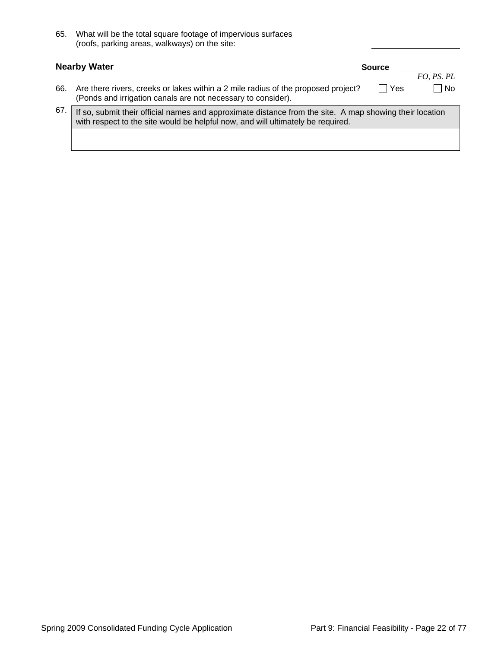| 65. | What will be the total square footage of impervious surfaces |
|-----|--------------------------------------------------------------|
|     | (roofs, parking areas, walkways) on the site:                |
|     |                                                              |

|     | <b>Nearby Water</b>                                                                                                                               | <b>Source</b>                                                                                           |            |  |  |
|-----|---------------------------------------------------------------------------------------------------------------------------------------------------|---------------------------------------------------------------------------------------------------------|------------|--|--|
|     |                                                                                                                                                   |                                                                                                         | FO, PS. PL |  |  |
| 66. | Are there rivers, creeks or lakes within a 2 mile radius of the proposed project?<br>(Ponds and irrigation canals are not necessary to consider). | ∏ Yes                                                                                                   | $\Box$ No  |  |  |
| 67. | with respect to the site would be helpful now, and will ultimately be required.                                                                   | If so, submit their official names and approximate distance from the site. A map showing their location |            |  |  |
|     |                                                                                                                                                   |                                                                                                         |            |  |  |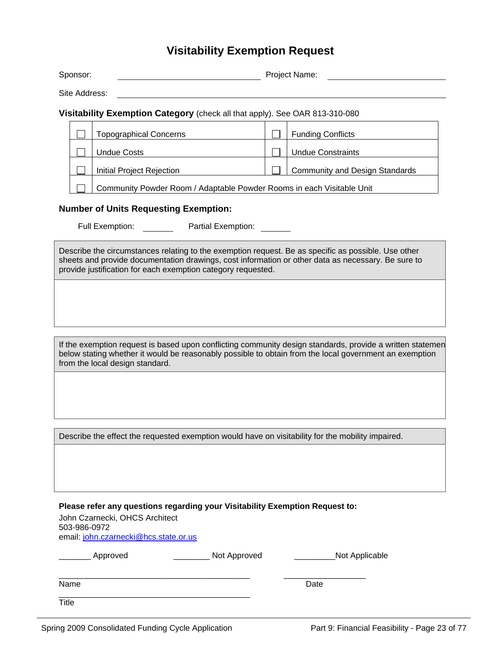### **Visitability Exemption Request**

| Sponsor:                                     |                                                                             |                               | Project Name: |                                       |  |  |
|----------------------------------------------|-----------------------------------------------------------------------------|-------------------------------|---------------|---------------------------------------|--|--|
|                                              | Site Address:                                                               |                               |               |                                       |  |  |
|                                              | Visitability Exemption Category (check all that apply). See OAR 813-310-080 |                               |               |                                       |  |  |
|                                              |                                                                             | <b>Topographical Concerns</b> |               | <b>Funding Conflicts</b>              |  |  |
|                                              |                                                                             | <b>Undue Costs</b>            |               | <b>Undue Constraints</b>              |  |  |
|                                              |                                                                             | Initial Project Rejection     |               | <b>Community and Design Standards</b> |  |  |
|                                              | Community Powder Room / Adaptable Powder Rooms in each Visitable Unit       |                               |               |                                       |  |  |
| <b>Number of Units Requesting Exemption:</b> |                                                                             |                               |               |                                       |  |  |
|                                              | Full Exemption:<br>Partial Exemption:                                       |                               |               |                                       |  |  |

Describe the circumstances relating to the exemption request. Be as specific as possible. Use other sheets and provide documentation drawings, cost information or other data as necessary. Be sure to provide justification for each exemption category requested.

If the exemption request is based upon conflicting community design standards, provide a written statemen below stating whether it would be reasonably possible to obtain from the local government an exemption from the local design standard.

Describe the effect the requested exemption would have on visitability for the mobility impaired.

| Please refer any questions regarding your Visitability Exemption Request to:<br>John Czarnecki, OHCS Architect<br>503-986-0972<br>email: john.czarnecki@hcs.state.or.us |              |                |  |  |  |  |
|-------------------------------------------------------------------------------------------------------------------------------------------------------------------------|--------------|----------------|--|--|--|--|
| Approved                                                                                                                                                                | Not Approved | Not Applicable |  |  |  |  |
| Name                                                                                                                                                                    |              | Date           |  |  |  |  |
| Title                                                                                                                                                                   |              |                |  |  |  |  |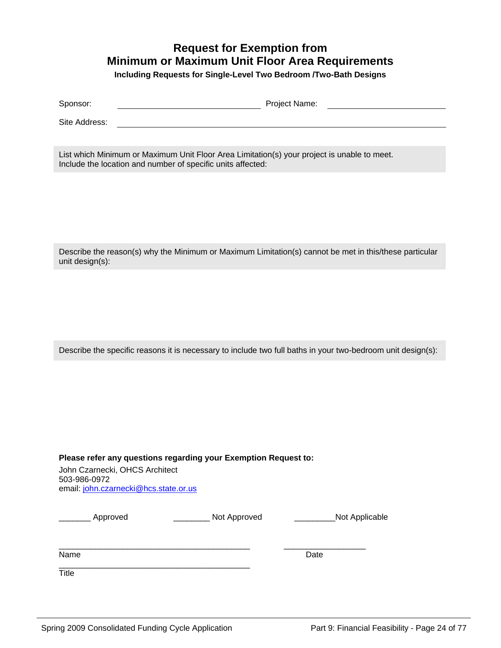### **Request for Exemption from Minimum or Maximum Unit Floor Area Requirements**

**Including Requests for Single-Level Two Bedroom /Two-Bath Designs** 

| $\overline{\phantom{0}}$ | ום זי |
|--------------------------|-------|
| Snonsor                  | Name  |
| ____                     |       |
|                          |       |

Site Address:

List which Minimum or Maximum Unit Floor Area Limitation(s) your project is unable to meet. Include the location and number of specific units affected:

Describe the reason(s) why the Minimum or Maximum Limitation(s) cannot be met in this/these particular unit design(s):

Describe the specific reasons it is necessary to include two full baths in your two-bedroom unit design(s):

**Please refer any questions regarding your Exemption Request to:** 

John Czarnecki, OHCS Architect 503-986-0972 email: [john.czarnecki@hcs.state.or.us](mailto:john.czarnecki@hcs.state.or.us)

|  | Approvec |
|--|----------|
|  |          |

\_\_\_\_\_\_\_ Approved \_\_\_\_\_\_\_\_ Not Approved \_\_\_\_\_\_\_\_\_Not Applicable

 $\frac{1}{2}$  ,  $\frac{1}{2}$  ,  $\frac{1}{2}$  ,  $\frac{1}{2}$  ,  $\frac{1}{2}$  ,  $\frac{1}{2}$  ,  $\frac{1}{2}$  ,  $\frac{1}{2}$  ,  $\frac{1}{2}$  ,  $\frac{1}{2}$  ,  $\frac{1}{2}$  ,  $\frac{1}{2}$  ,  $\frac{1}{2}$  ,  $\frac{1}{2}$  ,  $\frac{1}{2}$  ,  $\frac{1}{2}$  ,  $\frac{1}{2}$  ,  $\frac{1}{2}$  ,  $\frac{1$ 

Name Date **Date** 

**Title** 

\_\_\_\_\_\_\_\_\_\_\_\_\_\_\_\_\_\_\_\_\_\_\_\_\_\_\_\_\_\_\_\_\_\_\_\_\_\_\_\_\_\_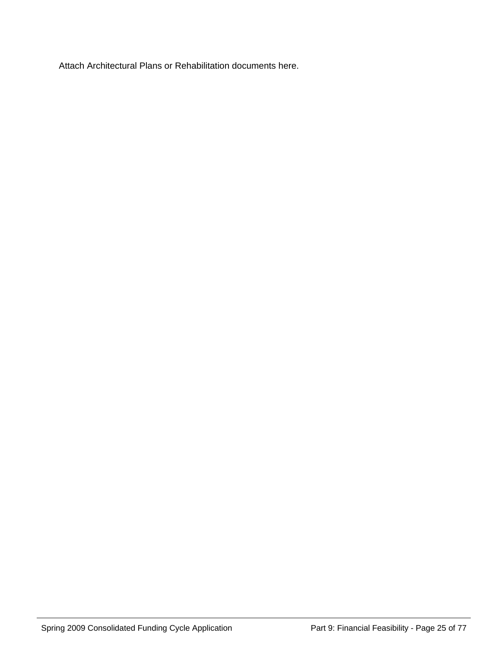Attach Architectural Plans or Rehabilitation documents here.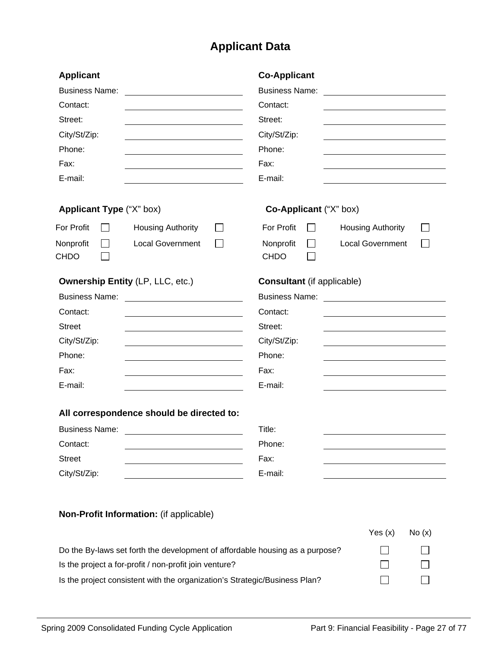# **Applicant Data**

| <b>Applicant</b><br><b>Business Name:</b><br>Contact:<br>Street:<br>City/St/Zip:<br>Phone:<br>Fax:<br>E-mail: |                                           | <b>Co-Applicant</b><br><b>Business Name:</b><br>Contact:<br>Street:<br>City/St/Zip:<br>Phone:<br>Fax:<br>E-mail: |                          |       |
|---------------------------------------------------------------------------------------------------------------|-------------------------------------------|------------------------------------------------------------------------------------------------------------------|--------------------------|-------|
| Applicant Type ("X" box)                                                                                      |                                           | Co-Applicant ("X" box)                                                                                           |                          |       |
| For Profit                                                                                                    | <b>Housing Authority</b>                  | For Profit                                                                                                       | <b>Housing Authority</b> |       |
| Nonprofit<br><b>CHDO</b>                                                                                      | <b>Local Government</b>                   | Nonprofit<br><b>CHDO</b>                                                                                         | <b>Local Government</b>  |       |
|                                                                                                               | <b>Ownership Entity (LP, LLC, etc.)</b>   | <b>Consultant</b> (if applicable)                                                                                |                          |       |
| <b>Business Name:</b>                                                                                         |                                           | <b>Business Name:</b>                                                                                            |                          |       |
| Contact:                                                                                                      |                                           | Contact:                                                                                                         |                          |       |
| <b>Street</b>                                                                                                 |                                           | Street:                                                                                                          |                          |       |
| City/St/Zip:                                                                                                  |                                           | City/St/Zip:                                                                                                     |                          |       |
| Phone:                                                                                                        |                                           | Phone:                                                                                                           |                          |       |
| Fax:                                                                                                          |                                           | Fax:                                                                                                             |                          |       |
| E-mail:                                                                                                       |                                           | E-mail:                                                                                                          |                          |       |
|                                                                                                               | All correspondence should be directed to: |                                                                                                                  |                          |       |
| <b>Business Name:</b>                                                                                         |                                           | Title:                                                                                                           |                          |       |
| Contact:                                                                                                      |                                           | Phone:                                                                                                           |                          |       |
| <b>Street</b>                                                                                                 |                                           | Fax:                                                                                                             |                          |       |
| City/St/Zip:                                                                                                  |                                           | E-mail:                                                                                                          |                          |       |
|                                                                                                               | Non-Profit Information: (if applicable)   |                                                                                                                  | Yes $(x)$                | No(x) |

| Do the By-laws set forth the development of affordable housing as a purpose? |        |
|------------------------------------------------------------------------------|--------|
| Is the project a for-profit / non-profit join venture?                       | $\Box$ |
| Is the project consistent with the organization's Strategic/Business Plan?   | $\Box$ |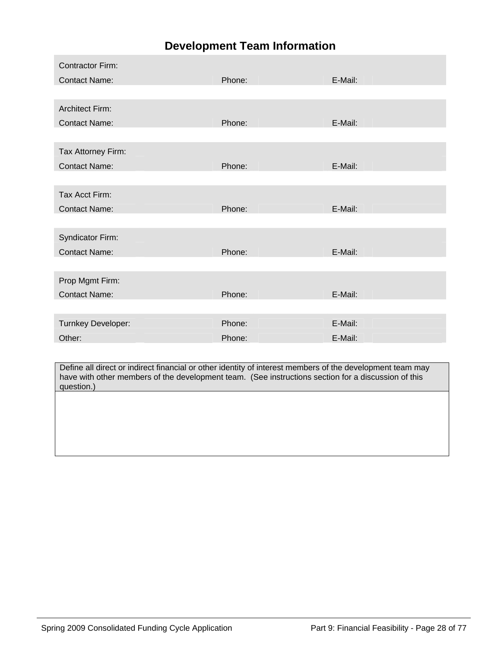### **Development Team Information**

| <b>Contractor Firm:</b> |        |         |
|-------------------------|--------|---------|
| <b>Contact Name:</b>    | Phone: | E-Mail: |
|                         |        |         |
| <b>Architect Firm:</b>  |        |         |
| <b>Contact Name:</b>    | Phone: | E-Mail: |
|                         |        |         |
| Tax Attorney Firm:      |        |         |
| <b>Contact Name:</b>    | Phone: | E-Mail: |
|                         |        |         |
| Tax Acct Firm:          |        |         |
| <b>Contact Name:</b>    | Phone: | E-Mail: |
|                         |        |         |
| Syndicator Firm:        |        |         |
| <b>Contact Name:</b>    | Phone: | E-Mail: |
|                         |        |         |
| Prop Mgmt Firm:         |        |         |
| <b>Contact Name:</b>    | Phone: | E-Mail: |
|                         |        |         |
| Turnkey Developer:      | Phone: | E-Mail: |
| Other:                  | Phone: | E-Mail: |

Define all direct or indirect financial or other identity of interest members of the development team may have with other members of the development team. (See instructions section for a discussion of this question.)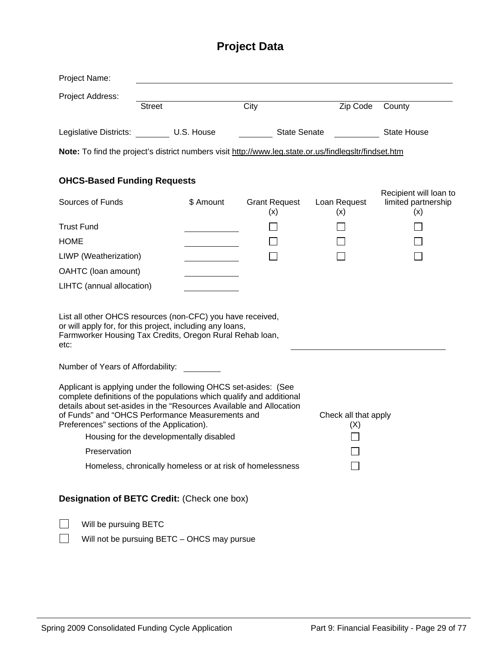# **Project Data**

| Project Name:                                                                                                                                                                                                                                                                                                                                                                                                                                                                                                                                                                                                                                                                                                |               |           |                             |                     |                                                      |  |
|--------------------------------------------------------------------------------------------------------------------------------------------------------------------------------------------------------------------------------------------------------------------------------------------------------------------------------------------------------------------------------------------------------------------------------------------------------------------------------------------------------------------------------------------------------------------------------------------------------------------------------------------------------------------------------------------------------------|---------------|-----------|-----------------------------|---------------------|------------------------------------------------------|--|
| Project Address:                                                                                                                                                                                                                                                                                                                                                                                                                                                                                                                                                                                                                                                                                             |               |           |                             |                     |                                                      |  |
|                                                                                                                                                                                                                                                                                                                                                                                                                                                                                                                                                                                                                                                                                                              | <b>Street</b> |           | City                        | Zip Code            | County                                               |  |
| Legislative Districts: U.S. House                                                                                                                                                                                                                                                                                                                                                                                                                                                                                                                                                                                                                                                                            |               |           | <b>State Senate</b>         |                     | <b>State House</b>                                   |  |
| Note: To find the project's district numbers visit http://www.leg.state.or.us/findlegsltr/findset.htm                                                                                                                                                                                                                                                                                                                                                                                                                                                                                                                                                                                                        |               |           |                             |                     |                                                      |  |
| <b>OHCS-Based Funding Requests</b>                                                                                                                                                                                                                                                                                                                                                                                                                                                                                                                                                                                                                                                                           |               |           |                             |                     |                                                      |  |
| Sources of Funds                                                                                                                                                                                                                                                                                                                                                                                                                                                                                                                                                                                                                                                                                             |               | \$ Amount | <b>Grant Request</b><br>(x) | Loan Request<br>(x) | Recipient will loan to<br>limited partnership<br>(x) |  |
| <b>Trust Fund</b>                                                                                                                                                                                                                                                                                                                                                                                                                                                                                                                                                                                                                                                                                            |               |           |                             |                     |                                                      |  |
| <b>HOME</b>                                                                                                                                                                                                                                                                                                                                                                                                                                                                                                                                                                                                                                                                                                  |               |           |                             |                     |                                                      |  |
| LIWP (Weatherization)                                                                                                                                                                                                                                                                                                                                                                                                                                                                                                                                                                                                                                                                                        |               |           |                             |                     |                                                      |  |
| OAHTC (loan amount)                                                                                                                                                                                                                                                                                                                                                                                                                                                                                                                                                                                                                                                                                          |               |           |                             |                     |                                                      |  |
| LIHTC (annual allocation)                                                                                                                                                                                                                                                                                                                                                                                                                                                                                                                                                                                                                                                                                    |               |           |                             |                     |                                                      |  |
| List all other OHCS resources (non-CFC) you have received,<br>or will apply for, for this project, including any loans,<br>Farmworker Housing Tax Credits, Oregon Rural Rehab loan,<br>etc:<br>Number of Years of Affordability:<br>Applicant is applying under the following OHCS set-asides: (See<br>complete definitions of the populations which qualify and additional<br>details about set-asides in the "Resources Available and Allocation<br>of Funds" and "OHCS Performance Measurements and<br>Check all that apply<br>Preferences" sections of the Application).<br>(X)<br>Housing for the developmentally disabled<br>Preservation<br>Homeless, chronically homeless or at risk of homelessness |               |           |                             |                     |                                                      |  |
| Designation of BETC Credit: (Check one box)                                                                                                                                                                                                                                                                                                                                                                                                                                                                                                                                                                                                                                                                  |               |           |                             |                     |                                                      |  |
| Will be pursuing BETC                                                                                                                                                                                                                                                                                                                                                                                                                                                                                                                                                                                                                                                                                        |               |           |                             |                     |                                                      |  |
| Will not be pursuing BETC - OHCS may pursue                                                                                                                                                                                                                                                                                                                                                                                                                                                                                                                                                                                                                                                                  |               |           |                             |                     |                                                      |  |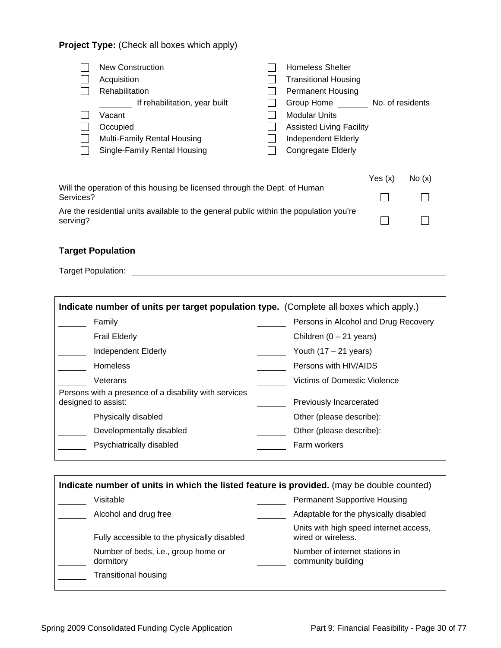#### **Project Type:** (Check all boxes which apply)

| <b>New Construction</b><br>Acquisition<br>Rehabilitation | <b>Homeless Shelter</b><br><b>Transitional Housing</b><br><b>Permanent Housing</b> |
|----------------------------------------------------------|------------------------------------------------------------------------------------|
| If rehabilitation, year built                            | Group Home<br>No. of residents                                                     |
| Vacant                                                   | <b>Modular Units</b>                                                               |
| Occupied                                                 | <b>Assisted Living Facility</b>                                                    |
| Multi-Family Rental Housing                              | Independent Elderly                                                                |
| Single-Family Rental Housing                             | <b>Congregate Elderly</b>                                                          |

|                                                                                                    | Yes(x) | No(x)  |
|----------------------------------------------------------------------------------------------------|--------|--------|
| Will the operation of this housing be licensed through the Dept. of Human<br>Services?             |        |        |
| Are the residential units available to the general public within the population you're<br>serving? |        | $\Box$ |

#### **Target Population**

| Indicate number of units per target population type. (Complete all boxes which apply.) |                                      |  |  |  |
|----------------------------------------------------------------------------------------|--------------------------------------|--|--|--|
| Family                                                                                 | Persons in Alcohol and Drug Recovery |  |  |  |
| <b>Frail Elderly</b>                                                                   | Children $(0 - 21$ years)            |  |  |  |
| Independent Elderly                                                                    | Youth $(17 – 21$ years)              |  |  |  |
| <b>Homeless</b>                                                                        | Persons with HIV/AIDS                |  |  |  |
| Veterans                                                                               | Victims of Domestic Violence         |  |  |  |
| Persons with a presence of a disability with services<br>designed to assist:           | Previously Incarcerated              |  |  |  |
| Physically disabled                                                                    | Other (please describe):             |  |  |  |
| Developmentally disabled                                                               | Other (please describe):             |  |  |  |
| Psychiatrically disabled                                                               | Farm workers                         |  |  |  |
|                                                                                        |                                      |  |  |  |

| Indicate number of units in which the listed feature is provided. (may be double counted) |                                                  |  |                                                              |  |
|-------------------------------------------------------------------------------------------|--------------------------------------------------|--|--------------------------------------------------------------|--|
|                                                                                           | Visitable                                        |  | <b>Permanent Supportive Housing</b>                          |  |
|                                                                                           | Alcohol and drug free                            |  | Adaptable for the physically disabled                        |  |
|                                                                                           | Fully accessible to the physically disabled      |  | Units with high speed internet access,<br>wired or wireless. |  |
|                                                                                           | Number of beds, i.e., group home or<br>dormitory |  | Number of internet stations in<br>community building         |  |
|                                                                                           | <b>Transitional housing</b>                      |  |                                                              |  |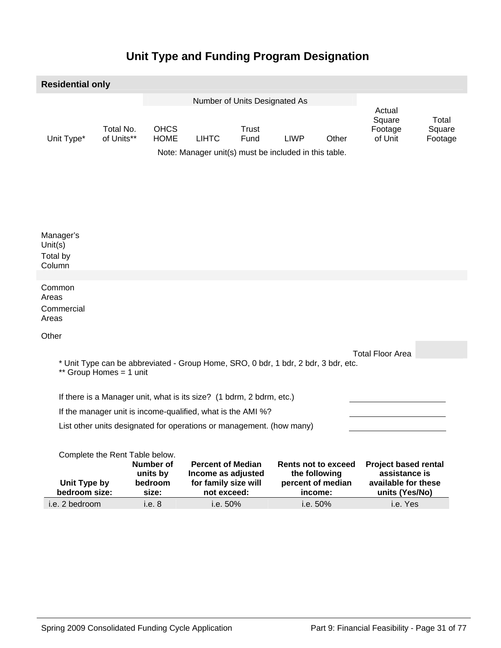## **Unit Type and Funding Program Designation**

| <b>Residential only</b>                       |                                                                      |                                |                                                  |                                                                                       |               |                                                                             |       |                                                                                       |                            |
|-----------------------------------------------|----------------------------------------------------------------------|--------------------------------|--------------------------------------------------|---------------------------------------------------------------------------------------|---------------|-----------------------------------------------------------------------------|-------|---------------------------------------------------------------------------------------|----------------------------|
|                                               | Number of Units Designated As                                        |                                |                                                  |                                                                                       |               |                                                                             |       |                                                                                       |                            |
|                                               | Unit Type*                                                           | Total No.<br>of Units**        | <b>OHCS</b><br><b>HOME</b>                       | <b>LIHTC</b><br>Note: Manager unit(s) must be included in this table.                 | Trust<br>Fund | <b>LIWP</b>                                                                 | Other | Actual<br>Square<br>Footage<br>of Unit                                                | Total<br>Square<br>Footage |
| Manager's<br>Unit $(s)$<br>Total by<br>Column |                                                                      |                                |                                                  |                                                                                       |               |                                                                             |       |                                                                                       |                            |
|                                               |                                                                      |                                |                                                  |                                                                                       |               |                                                                             |       |                                                                                       |                            |
| Common<br>Areas<br>Areas                      | Commercial                                                           |                                |                                                  |                                                                                       |               |                                                                             |       |                                                                                       |                            |
| Other                                         |                                                                      |                                |                                                  |                                                                                       |               |                                                                             |       |                                                                                       |                            |
|                                               |                                                                      |                                |                                                  |                                                                                       |               |                                                                             |       | <b>Total Floor Area</b>                                                               |                            |
|                                               |                                                                      | ** Group Homes = 1 unit        |                                                  | * Unit Type can be abbreviated - Group Home, SRO, 0 bdr, 1 bdr, 2 bdr, 3 bdr, etc.    |               |                                                                             |       |                                                                                       |                            |
|                                               | If there is a Manager unit, what is its size? (1 bdrm, 2 bdrm, etc.) |                                |                                                  |                                                                                       |               |                                                                             |       |                                                                                       |                            |
|                                               | If the manager unit is income-qualified, what is the AMI %?          |                                |                                                  |                                                                                       |               |                                                                             |       |                                                                                       |                            |
|                                               | List other units designated for operations or management. (how many) |                                |                                                  |                                                                                       |               |                                                                             |       |                                                                                       |                            |
|                                               | Unit Type by<br>bedroom size:                                        | Complete the Rent Table below. | <b>Number of</b><br>units by<br>bedroom<br>size: | <b>Percent of Median</b><br>Income as adjusted<br>for family size will<br>not exceed: |               | <b>Rents not to exceed</b><br>the following<br>percent of median<br>income: |       | <b>Project based rental</b><br>assistance is<br>available for these<br>units (Yes/No) |                            |

i.e. 2 bedroom i.e. 8 i.e. 50% i.e. 50% i.e. Yes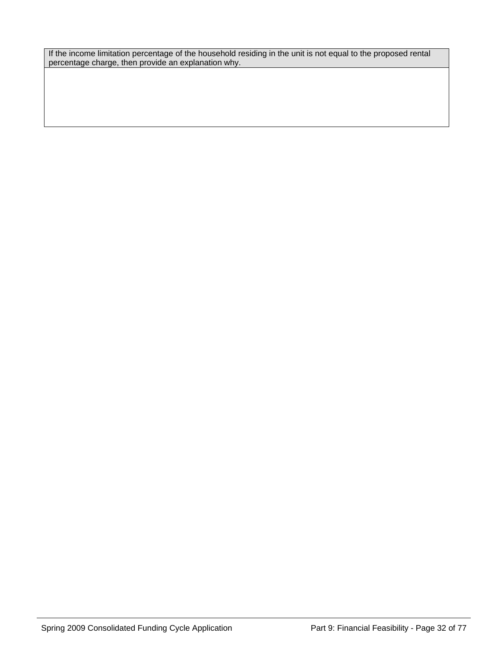If the income limitation percentage of the household residing in the unit is not equal to the proposed rental percentage charge, then provide an explanation why.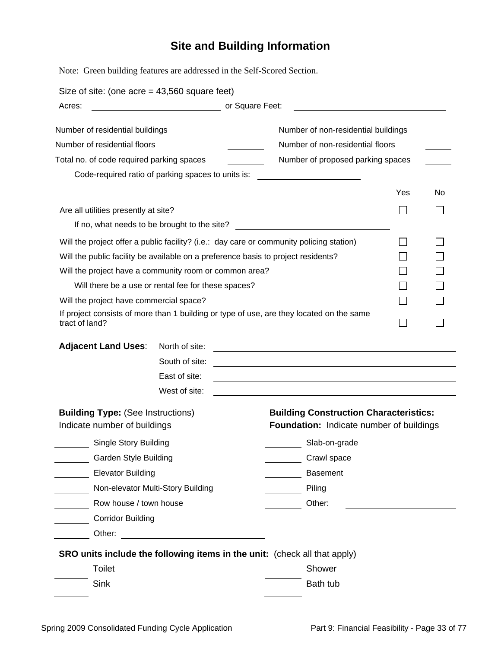# **Site and Building Information**

Note: Green building features are addressed in the Self-Scored Section.

| Size of site: (one acre = $43,560$ square feet)                                                                     |                                                                    |                                                                                                                                                                                                                                                                           |     |     |  |  |  |
|---------------------------------------------------------------------------------------------------------------------|--------------------------------------------------------------------|---------------------------------------------------------------------------------------------------------------------------------------------------------------------------------------------------------------------------------------------------------------------------|-----|-----|--|--|--|
| Acres:                                                                                                              |                                                                    | or Square Feet:                                                                                                                                                                                                                                                           |     |     |  |  |  |
| Number of residential buildings<br>Number of residential floors<br>Total no. of code required parking spaces        | Code-required ratio of parking spaces to units is:                 | Number of non-residential buildings<br>Number of non-residential floors<br>Number of proposed parking spaces                                                                                                                                                              |     |     |  |  |  |
|                                                                                                                     |                                                                    |                                                                                                                                                                                                                                                                           | Yes | No. |  |  |  |
| Are all utilities presently at site?                                                                                |                                                                    |                                                                                                                                                                                                                                                                           |     |     |  |  |  |
|                                                                                                                     | If no, what needs to be brought to the site?                       | <u> 1980 - Jan Barat, prima al II-lea (b. 1980)</u>                                                                                                                                                                                                                       |     |     |  |  |  |
| Will the project have a community room or common area?<br>Will the project have commercial space?<br>tract of land? | Will there be a use or rental fee for these spaces?                | Will the project offer a public facility? (i.e.: day care or community policing station)<br>Will the public facility be available on a preference basis to project residents?<br>If project consists of more than 1 building or type of use, are they located on the same |     |     |  |  |  |
| <b>Adjacent Land Uses:</b>                                                                                          | North of site:<br>South of site:<br>East of site:<br>West of site: |                                                                                                                                                                                                                                                                           |     |     |  |  |  |
| <b>Building Type: (See Instructions)</b><br>Indicate number of buildings                                            |                                                                    | <b>Building Construction Characteristics:</b><br>Foundation: Indicate number of buildings                                                                                                                                                                                 |     |     |  |  |  |
| <b>Single Story Building</b>                                                                                        |                                                                    | Slab-on-grade                                                                                                                                                                                                                                                             |     |     |  |  |  |
| <b>Garden Style Building</b>                                                                                        |                                                                    | Crawl space                                                                                                                                                                                                                                                               |     |     |  |  |  |
| <b>Elevator Building</b>                                                                                            |                                                                    | <b>Basement</b>                                                                                                                                                                                                                                                           |     |     |  |  |  |
|                                                                                                                     | Non-elevator Multi-Story Building                                  | Piling                                                                                                                                                                                                                                                                    |     |     |  |  |  |
| Row house / town house                                                                                              |                                                                    | Other:                                                                                                                                                                                                                                                                    |     |     |  |  |  |
| <b>Corridor Building</b>                                                                                            |                                                                    |                                                                                                                                                                                                                                                                           |     |     |  |  |  |
| Other:                                                                                                              | <u> 1989 - Johann Harry Barn, mars ar breist fan de Fryske k</u>   |                                                                                                                                                                                                                                                                           |     |     |  |  |  |
|                                                                                                                     |                                                                    | SRO units include the following items in the unit: (check all that apply)                                                                                                                                                                                                 |     |     |  |  |  |
| <b>Toilet</b>                                                                                                       |                                                                    | Shower                                                                                                                                                                                                                                                                    |     |     |  |  |  |
| <b>Sink</b>                                                                                                         |                                                                    | Bath tub                                                                                                                                                                                                                                                                  |     |     |  |  |  |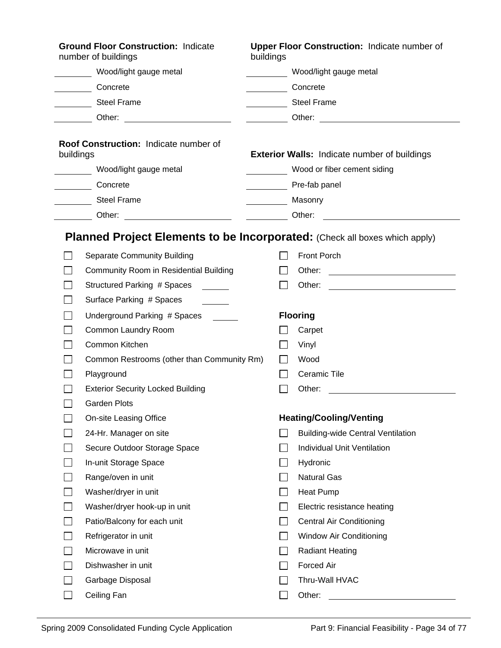|                             | <b>Ground Floor Construction: Indicate</b><br>number of buildings          | buildings              | <b>Upper Floor Construction: Indicate number of</b>                                                                                                                                                                            |  |  |
|-----------------------------|----------------------------------------------------------------------------|------------------------|--------------------------------------------------------------------------------------------------------------------------------------------------------------------------------------------------------------------------------|--|--|
|                             | Wood/light gauge metal                                                     | Wood/light gauge metal |                                                                                                                                                                                                                                |  |  |
|                             | Concrete                                                                   | Concrete               |                                                                                                                                                                                                                                |  |  |
|                             | <b>Steel Frame</b>                                                         | Steel Frame            |                                                                                                                                                                                                                                |  |  |
|                             | ___ Other: _________________________                                       |                        | Other: Other: Web and the Communication of the Communication of the Communication of the Communication of the Communication of the Communication of the Communication of the Communication of the Communication of the Communi |  |  |
| buildings                   | Roof Construction: Indicate number of                                      |                        | <b>Exterior Walls: Indicate number of buildings</b>                                                                                                                                                                            |  |  |
|                             | Wood/light gauge metal                                                     |                        | Wood or fiber cement siding                                                                                                                                                                                                    |  |  |
|                             | Concrete                                                                   |                        | Pre-fab panel                                                                                                                                                                                                                  |  |  |
|                             | <b>Steel Frame</b>                                                         |                        | Masonry                                                                                                                                                                                                                        |  |  |
|                             |                                                                            |                        | Other:                                                                                                                                                                                                                         |  |  |
|                             | Planned Project Elements to be Incorporated: (Check all boxes which apply) |                        |                                                                                                                                                                                                                                |  |  |
|                             | <b>Separate Community Building</b>                                         |                        | <b>Front Porch</b>                                                                                                                                                                                                             |  |  |
|                             | Community Room in Residential Building                                     |                        | Other:<br><u> Alexandria de la contrada de la contrada de la contrada de la contrada de la contrada de la contrada de la c</u>                                                                                                 |  |  |
|                             | Structured Parking # Spaces                                                |                        |                                                                                                                                                                                                                                |  |  |
|                             | Surface Parking # Spaces                                                   |                        |                                                                                                                                                                                                                                |  |  |
|                             | Underground Parking # Spaces                                               |                        | <b>Flooring</b>                                                                                                                                                                                                                |  |  |
|                             | Common Laundry Room                                                        |                        | Carpet                                                                                                                                                                                                                         |  |  |
|                             | Common Kitchen                                                             |                        | Vinyl                                                                                                                                                                                                                          |  |  |
|                             | Common Restrooms (other than Community Rm)                                 |                        | Wood                                                                                                                                                                                                                           |  |  |
|                             | Playground                                                                 |                        | Ceramic Tile                                                                                                                                                                                                                   |  |  |
|                             | <b>Exterior Security Locked Building</b>                                   |                        | Other:<br><u> 1989 - Johann Barn, mars ann an t-Amhain ann an t-Amhain an t-Amhain an t-Amhain an t-Amhain an t-Amhain an t-</u>                                                                                               |  |  |
| $\Box$                      | Garden Plots                                                               |                        |                                                                                                                                                                                                                                |  |  |
|                             | On-site Leasing Office                                                     |                        | <b>Heating/Cooling/Venting</b>                                                                                                                                                                                                 |  |  |
|                             | 24-Hr. Manager on site                                                     |                        | <b>Building-wide Central Ventilation</b>                                                                                                                                                                                       |  |  |
|                             | Secure Outdoor Storage Space                                               |                        | Individual Unit Ventilation                                                                                                                                                                                                    |  |  |
|                             | In-unit Storage Space                                                      |                        | Hydronic                                                                                                                                                                                                                       |  |  |
|                             | Range/oven in unit                                                         |                        | <b>Natural Gas</b>                                                                                                                                                                                                             |  |  |
|                             | Washer/dryer in unit                                                       |                        | Heat Pump                                                                                                                                                                                                                      |  |  |
| $\mathcal{L}_{\mathcal{A}}$ | Washer/dryer hook-up in unit                                               |                        | Electric resistance heating                                                                                                                                                                                                    |  |  |
|                             | Patio/Balcony for each unit                                                |                        | <b>Central Air Conditioning</b>                                                                                                                                                                                                |  |  |
|                             | Refrigerator in unit                                                       |                        | Window Air Conditioning                                                                                                                                                                                                        |  |  |
|                             | Microwave in unit                                                          |                        | <b>Radiant Heating</b>                                                                                                                                                                                                         |  |  |
|                             | Dishwasher in unit                                                         |                        | Forced Air                                                                                                                                                                                                                     |  |  |
|                             | Garbage Disposal                                                           |                        | Thru-Wall HVAC                                                                                                                                                                                                                 |  |  |
| L.                          | Ceiling Fan                                                                |                        | Other:                                                                                                                                                                                                                         |  |  |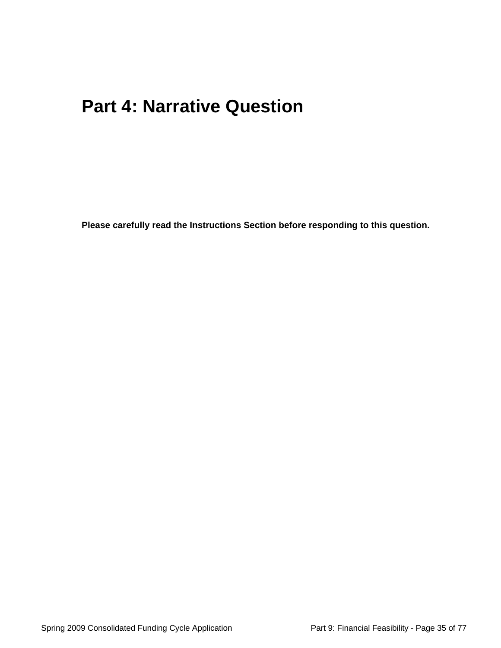**Please carefully read the Instructions Section before responding to this question.**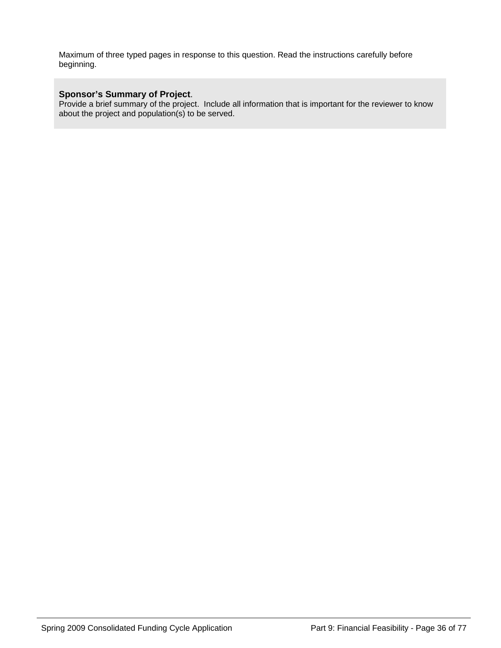Maximum of three typed pages in response to this question. Read the instructions carefully before beginning.

#### **Sponsor's Summary of Project**.

Provide a brief summary of the project. Include all information that is important for the reviewer to know about the project and population(s) to be served.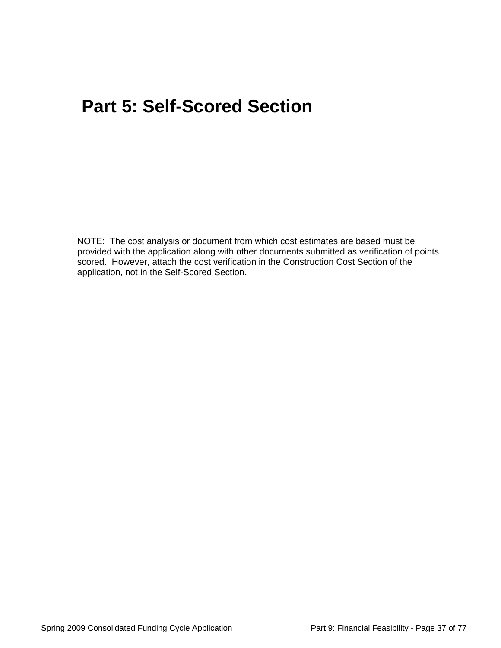NOTE: The cost analysis or document from which cost estimates are based must be provided with the application along with other documents submitted as verification of points scored. However, attach the cost verification in the Construction Cost Section of the application, not in the Self-Scored Section.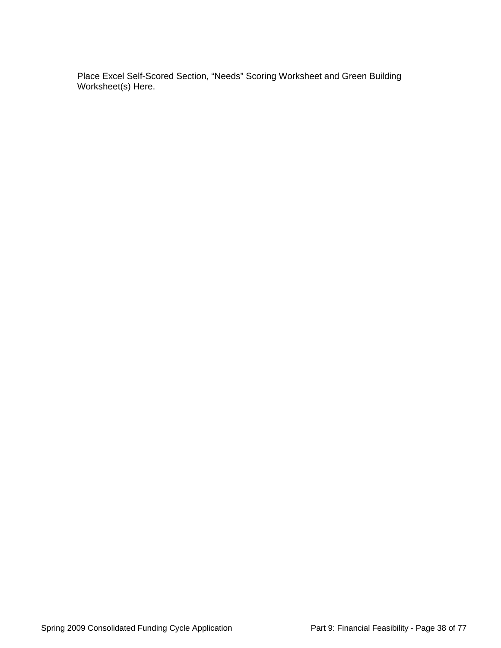Place Excel Self-Scored Section, "Needs" Scoring Worksheet and Green Building Worksheet(s) Here.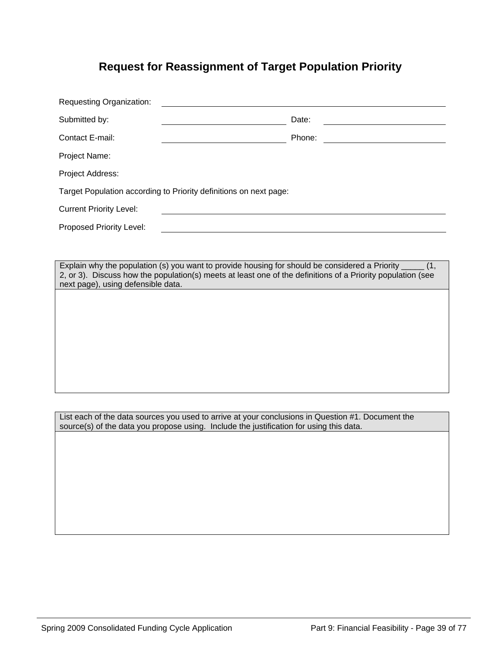### **Request for Reassignment of Target Population Priority**

| <b>Requesting Organization:</b>                                   |        |
|-------------------------------------------------------------------|--------|
| Submitted by:                                                     | Date:  |
| Contact E-mail:                                                   | Phone: |
| Project Name:                                                     |        |
| Project Address:                                                  |        |
| Target Population according to Priority definitions on next page: |        |
| <b>Current Priority Level:</b>                                    |        |
| Proposed Priority Level:                                          |        |

Explain why the population (s) you want to provide housing for should be considered a Priority \_\_\_\_\_ (1, 2, or 3). Discuss how the population(s) meets at least one of the definitions of a Priority population (see next page), using defensible data.

List each of the data sources you used to arrive at your conclusions in Question #1. Document the source(s) of the data you propose using. Include the justification for using this data.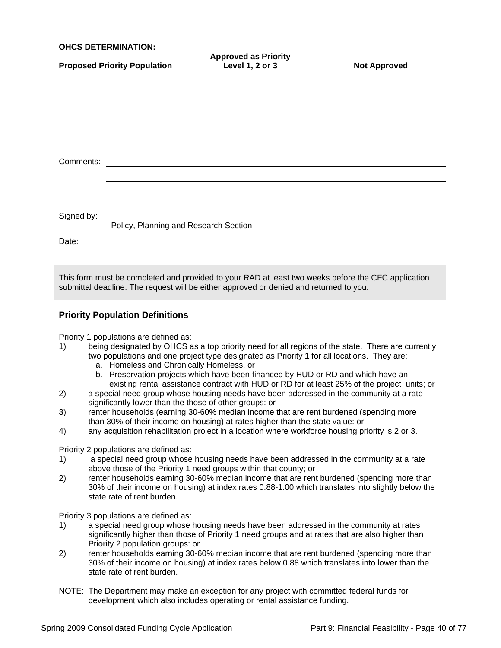| <b>OHCS DETERMINATION:</b> |  |
|----------------------------|--|
|----------------------------|--|

|  |  |  |  | <b>Proposed Priority Population</b> |
|--|--|--|--|-------------------------------------|
|  |  |  |  |                                     |

**Approved as Priority** Level 1, 2 or 3 Not Approved

| Comments:  |                                       |  |
|------------|---------------------------------------|--|
|            |                                       |  |
|            |                                       |  |
|            |                                       |  |
| Signed by: |                                       |  |
|            | Policy, Planning and Research Section |  |
| Date:      |                                       |  |
|            |                                       |  |
|            |                                       |  |

This form must be completed and provided to your RAD at least two weeks before the CFC application submittal deadline. The request will be either approved or denied and returned to you.

### **Priority Population Definitions**

Priority 1 populations are defined as:

- 1) being designated by OHCS as a top priority need for all regions of the state. There are currently two populations and one project type designated as Priority 1 for all locations. They are:
	- a. Homeless and Chronically Homeless, or
	- b. Preservation projects which have been financed by HUD or RD and which have an existing rental assistance contract with HUD or RD for at least 25% of the project units; or
- 2) a special need group whose housing needs have been addressed in the community at a rate significantly lower than the those of other groups: or
- 3) renter households (earning 30-60% median income that are rent burdened (spending more than 30% of their income on housing) at rates higher than the state value: or
- 4) any acquisition rehabilitation project in a location where workforce housing priority is 2 or 3.

Priority 2 populations are defined as:

- 1) a special need group whose housing needs have been addressed in the community at a rate above those of the Priority 1 need groups within that county; or
- 2) renter households earning 30-60% median income that are rent burdened (spending more than 30% of their income on housing) at index rates 0.88-1.00 which translates into slightly below the state rate of rent burden.

Priority 3 populations are defined as:

- 1) a special need group whose housing needs have been addressed in the community at rates significantly higher than those of Priority 1 need groups and at rates that are also higher than Priority 2 population groups: or
- 2) renter households earning 30-60% median income that are rent burdened (spending more than 30% of their income on housing) at index rates below 0.88 which translates into lower than the state rate of rent burden.
- NOTE: The Department may make an exception for any project with committed federal funds for development which also includes operating or rental assistance funding.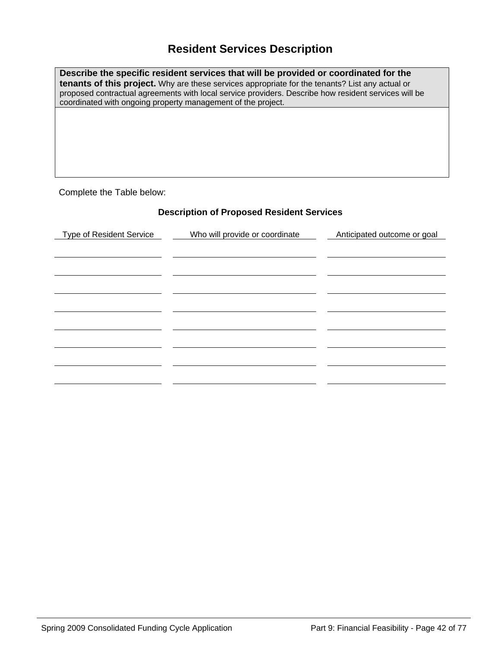### **Resident Services Description**

**Describe the specific resident services that will be provided or coordinated for the tenants of this project.** Why are these services appropriate for the tenants? List any actual or proposed contractual agreements with local service providers. Describe how resident services will be coordinated with ongoing property management of the project.

Complete the Table below:

### **Description of Proposed Resident Services**

| <b>Type of Resident Service</b> | Who will provide or coordinate | Anticipated outcome or goal |
|---------------------------------|--------------------------------|-----------------------------|
|                                 |                                |                             |
|                                 |                                |                             |
|                                 |                                |                             |
|                                 |                                |                             |
|                                 |                                |                             |
|                                 |                                |                             |
|                                 |                                |                             |
|                                 |                                |                             |
|                                 |                                |                             |
|                                 |                                |                             |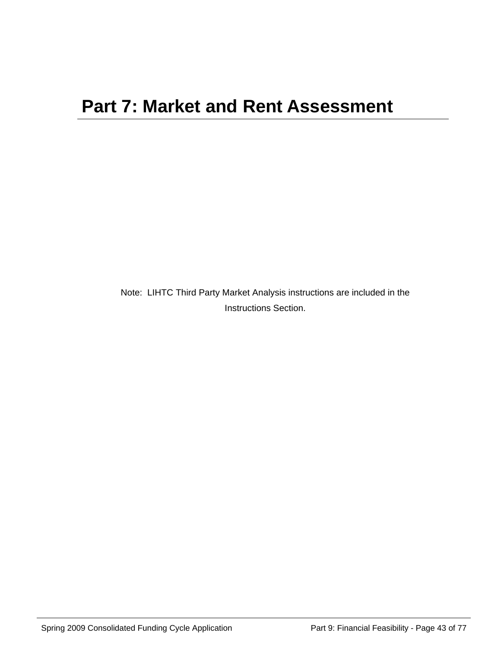Note: LIHTC Third Party Market Analysis instructions are included in the Instructions Section.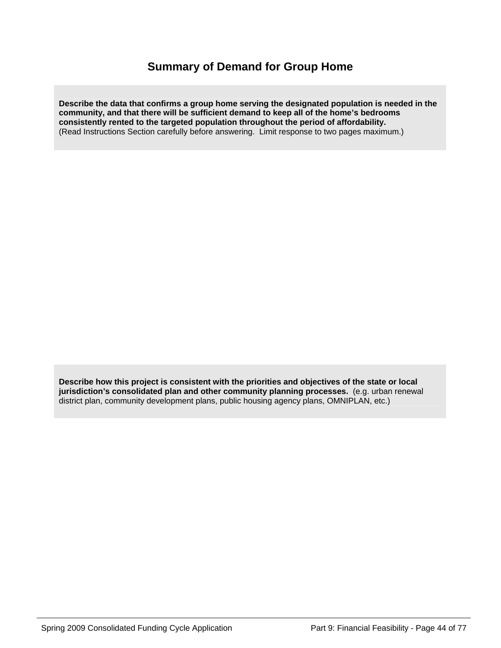### **Summary of Demand for Group Home**

**Describe the data that confirms a group home serving the designated population is needed in the community, and that there will be sufficient demand to keep all of the home's bedrooms consistently rented to the targeted population throughout the period of affordability.**  (Read Instructions Section carefully before answering. Limit response to two pages maximum.)

**Describe how this project is consistent with the priorities and objectives of the state or local jurisdiction's consolidated plan and other community planning processes.** (e.g. urban renewal district plan, community development plans, public housing agency plans, OMNIPLAN, etc.)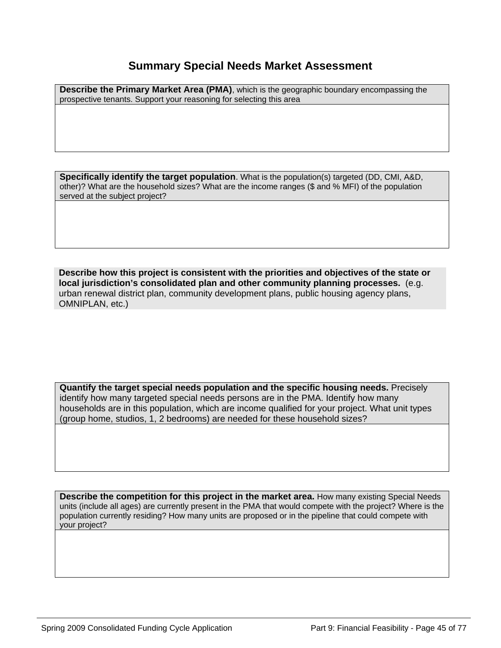### **Summary Special Needs Market Assessment**

**Describe the Primary Market Area (PMA)**, which is the geographic boundary encompassing the prospective tenants. Support your reasoning for selecting this area

**Specifically identify the target population**. What is the population(s) targeted (DD, CMI, A&D, other)? What are the household sizes? What are the income ranges (\$ and % MFI) of the population served at the subject project?

**Describe how this project is consistent with the priorities and objectives of the state or local jurisdiction's consolidated plan and other community planning processes.** (e.g. urban renewal district plan, community development plans, public housing agency plans, OMNIPLAN, etc.)

**Quantify the target special needs population and the specific housing needs.** Precisely identify how many targeted special needs persons are in the PMA. Identify how many households are in this population, which are income qualified for your project. What unit types (group home, studios, 1, 2 bedrooms) are needed for these household sizes?

**Describe the competition for this project in the market area.** How many existing Special Needs units (include all ages) are currently present in the PMA that would compete with the project? Where is the population currently residing? How many units are proposed or in the pipeline that could compete with your project?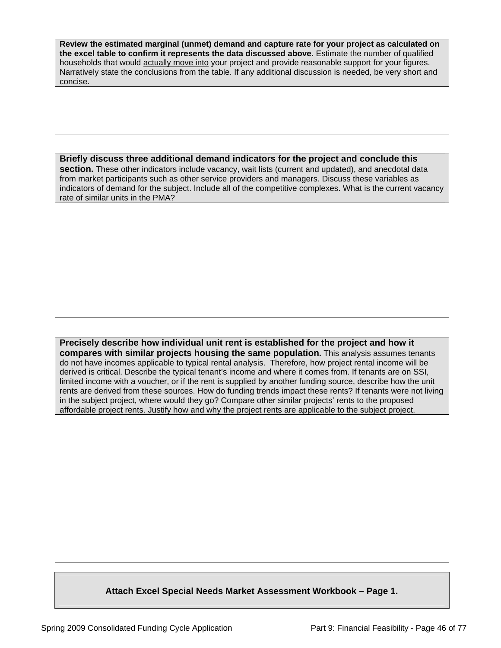**Review the estimated marginal (unmet) demand and capture rate for your project as calculated on the excel table to confirm it represents the data discussed above.** Estimate the number of qualified households that would actually move into your project and provide reasonable support for your figures. Narratively state the conclusions from the table. If any additional discussion is needed, be very short and concise.

#### **Briefly discuss three additional demand indicators for the project and conclude this**

**section.** These other indicators include vacancy, wait lists (current and updated), and anecdotal data from market participants such as other service providers and managers. Discuss these variables as indicators of demand for the subject. Include all of the competitive complexes. What is the current vacancy rate of similar units in the PMA?

**Precisely describe how individual unit rent is established for the project and how it compares with similar projects housing the same population.** This analysis assumes tenants do not have incomes applicable to typical rental analysis. Therefore, how project rental income will be derived is critical. Describe the typical tenant's income and where it comes from. If tenants are on SSI, limited income with a voucher, or if the rent is supplied by another funding source, describe how the unit rents are derived from these sources. How do funding trends impact these rents? If tenants were not living in the subject project, where would they go? Compare other similar projects' rents to the proposed affordable project rents. Justify how and why the project rents are applicable to the subject project.

### **Attach Excel Special Needs Market Assessment Workbook – Page 1.**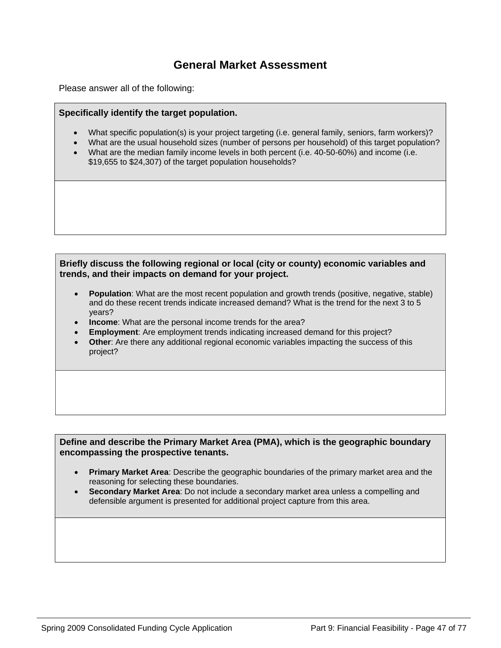### **General Market Assessment**

Please answer all of the following:

### **Specifically identify the target population.**

- What specific population(s) is your project targeting (i.e. general family, seniors, farm workers)?
- What are the usual household sizes (number of persons per household) of this target population?
- What are the median family income levels in both percent (i.e. 40-50-60%) and income (i.e. \$19,655 to \$24,307) of the target population households?

#### **Briefly discuss the following regional or local (city or county) economic variables and trends, and their impacts on demand for your project.**

- **Population**: What are the most recent population and growth trends (positive, negative, stable) and do these recent trends indicate increased demand? What is the trend for the next 3 to 5 years?
- **Income**: What are the personal income trends for the area?
- **Employment:** Are employment trends indicating increased demand for this project?
- **Other:** Are there any additional regional economic variables impacting the success of this project?

#### **Define and describe the Primary Market Area (PMA), which is the geographic boundary encompassing the prospective tenants.**

- **Primary Market Area**: Describe the geographic boundaries of the primary market area and the reasoning for selecting these boundaries.
- **Secondary Market Area**: Do not include a secondary market area unless a compelling and defensible argument is presented for additional project capture from this area.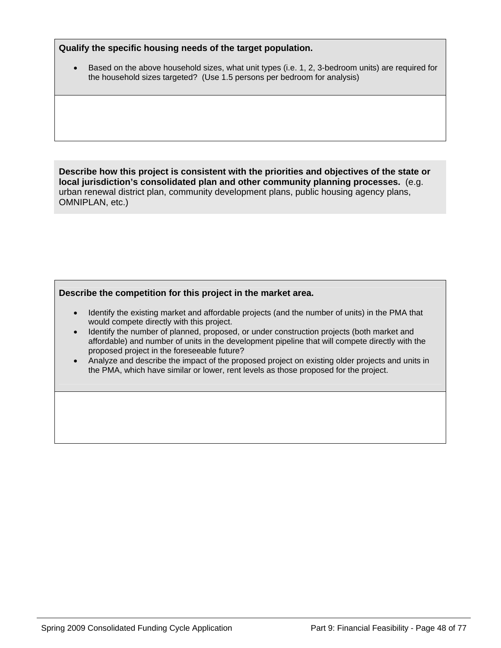#### **Qualify the specific housing needs of the target population.**

• Based on the above household sizes, what unit types (i.e. 1, 2, 3-bedroom units) are required for the household sizes targeted? (Use 1.5 persons per bedroom for analysis)

**Describe how this project is consistent with the priorities and objectives of the state or local jurisdiction's consolidated plan and other community planning processes.** (e.g. urban renewal district plan, community development plans, public housing agency plans, OMNIPLAN, etc.)

### **Describe the competition for this project in the market area.**

- Identify the existing market and affordable projects (and the number of units) in the PMA that would compete directly with this project.
- Identify the number of planned, proposed, or under construction projects (both market and affordable) and number of units in the development pipeline that will compete directly with the proposed project in the foreseeable future?
- Analyze and describe the impact of the proposed project on existing older projects and units in the PMA, which have similar or lower, rent levels as those proposed for the project.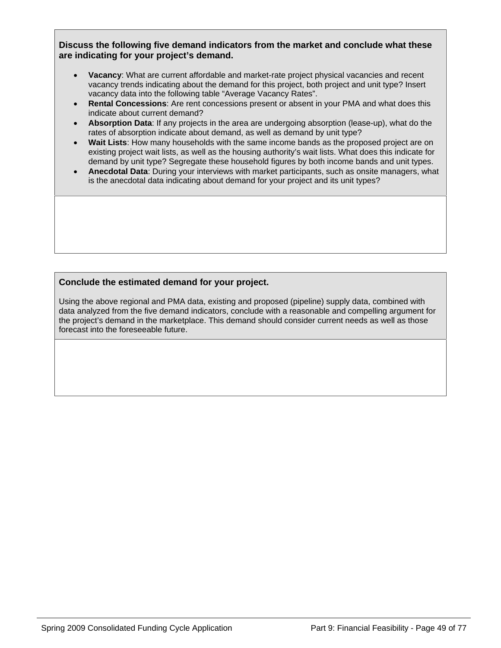**Discuss the following five demand indicators from the market and conclude what these are indicating for your project's demand.** 

- **Vacancy**: What are current affordable and market-rate project physical vacancies and recent vacancy trends indicating about the demand for this project, both project and unit type? Insert vacancy data into the following table "Average Vacancy Rates".
- **Rental Concessions**: Are rent concessions present or absent in your PMA and what does this indicate about current demand?
- **Absorption Data**: If any projects in the area are undergoing absorption (lease-up), what do the rates of absorption indicate about demand, as well as demand by unit type?
- **Wait Lists**: How many households with the same income bands as the proposed project are on existing project wait lists, as well as the housing authority's wait lists. What does this indicate for demand by unit type? Segregate these household figures by both income bands and unit types.
- **Anecdotal Data**: During your interviews with market participants, such as onsite managers, what is the anecdotal data indicating about demand for your project and its unit types?

### **Conclude the estimated demand for your project.**

Using the above regional and PMA data, existing and proposed (pipeline) supply data, combined with data analyzed from the five demand indicators, conclude with a reasonable and compelling argument for the project's demand in the marketplace. This demand should consider current needs as well as those forecast into the foreseeable future.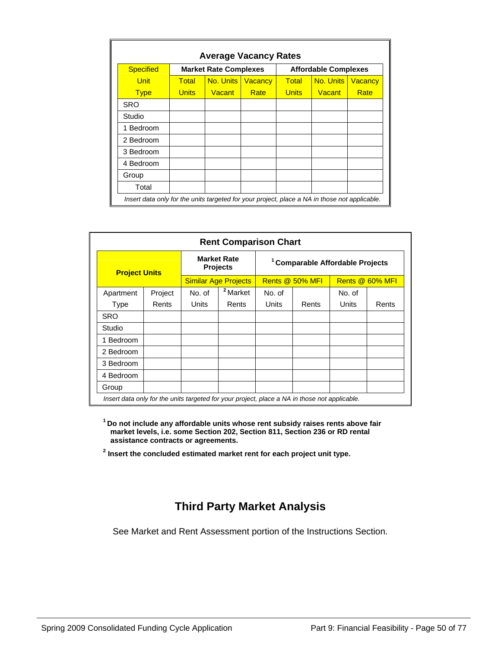| <b>Specified</b> |              | <b>Market Rate Complexes</b> |                |              | <b>Affordable Complexes</b> |                |
|------------------|--------------|------------------------------|----------------|--------------|-----------------------------|----------------|
| <b>Unit</b>      | <b>Total</b> | No. Units                    | <b>Vacancy</b> | Total        | No. Units                   | <b>Vacancy</b> |
| <b>Type</b>      | <b>Units</b> | Vacant                       | Rate           | <b>Units</b> | <b>Vacant</b>               | Rate           |
| SRO              |              |                              |                |              |                             |                |
| Studio           |              |                              |                |              |                             |                |
| Bedroom<br>1     |              |                              |                |              |                             |                |
| 2 Bedroom        |              |                              |                |              |                             |                |
| 3 Bedroom        |              |                              |                |              |                             |                |
| 4 Bedroom        |              |                              |                |              |                             |                |
| Group            |              |                              |                |              |                             |                |
| Total            |              |                              |                |              |                             |                |

| <b>Rent Comparison Chart</b>                                                                  |         |                                       |                     |                                             |       |                 |       |
|-----------------------------------------------------------------------------------------------|---------|---------------------------------------|---------------------|---------------------------------------------|-------|-----------------|-------|
| <b>Project Units</b>                                                                          |         | <b>Market Rate</b><br><b>Projects</b> |                     | <sup>1</sup> Comparable Affordable Projects |       |                 |       |
|                                                                                               |         | <b>Similar Age Projects</b>           |                     | Rents @ 50% MFI                             |       | Rents @ 60% MFI |       |
| Apartment                                                                                     | Project | No. of                                | <sup>2</sup> Market | No. of                                      |       | No. of          |       |
| Type                                                                                          | Rents   | Units                                 | Rents               | Units                                       | Rents | Units           | Rents |
| <b>SRO</b>                                                                                    |         |                                       |                     |                                             |       |                 |       |
| Studio                                                                                        |         |                                       |                     |                                             |       |                 |       |
| 1 Bedroom                                                                                     |         |                                       |                     |                                             |       |                 |       |
| 2 Bedroom                                                                                     |         |                                       |                     |                                             |       |                 |       |
| 3 Bedroom                                                                                     |         |                                       |                     |                                             |       |                 |       |
| 4 Bedroom                                                                                     |         |                                       |                     |                                             |       |                 |       |
| Group                                                                                         |         |                                       |                     |                                             |       |                 |       |
| Insert data only for the units targeted for your project, place a NA in those not applicable. |         |                                       |                     |                                             |       |                 |       |

**1 Do not include any affordable units whose rent subsidy raises rents above fair market levels, i.e. some Section 202, Section 811, Section 236 or RD rental assistance contracts or agreements.** 

**2 Insert the concluded estimated market rent for each project unit type.** 

### **Third Party Market Analysis**

See Market and Rent Assessment portion of the Instructions Section.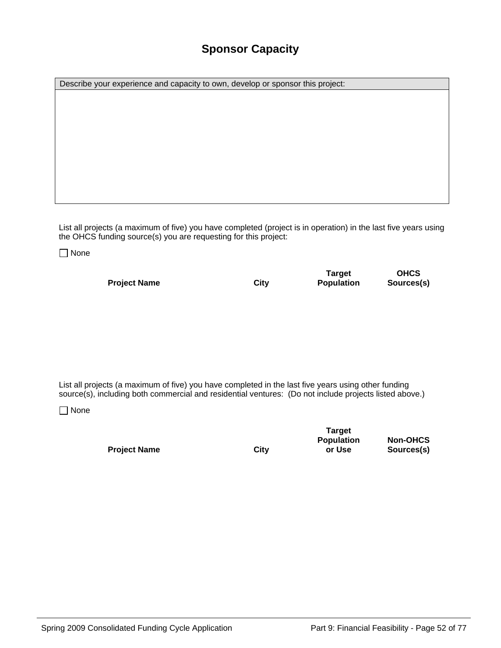### **Sponsor Capacity**

Describe your experience and capacity to own, develop or sponsor this project:

List all projects (a maximum of five) you have completed (project is in operation) in the last five years using the OHCS funding source(s) you are requesting for this project:

□ None

**Project Name** City

**Target Population** 

**OHCS Sources(s)** 

List all projects (a maximum of five) you have completed in the last five years using other funding source(s), including both commercial and residential ventures: (Do not include projects listed above.)

□ None

**Project Name City** 

**Target Population or Use** 

**Non-OHCS Sources(s)**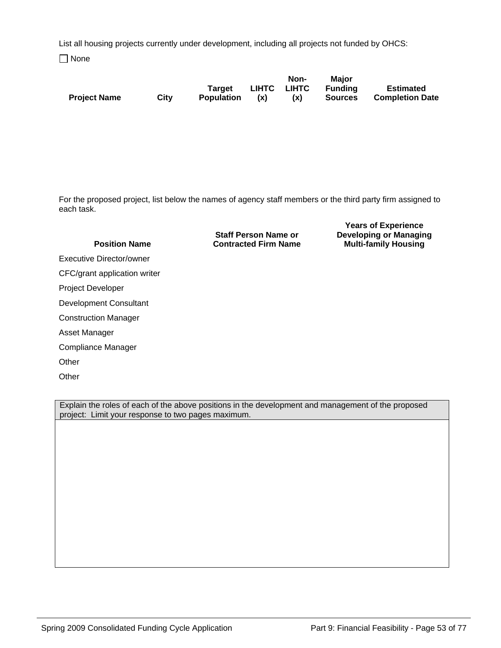List all housing projects currently under development, including all projects not funded by OHCS:

□ None

|                     |      |            |     | Non-        | Maior   |                        |
|---------------------|------|------------|-----|-------------|---------|------------------------|
|                     |      | Target     |     | LIHTC LIHTC | Fundina | <b>Estimated</b>       |
| <b>Project Name</b> | City | Population | (x) | (X)         | Sources | <b>Completion Date</b> |

For the proposed project, list below the names of agency staff members or the third party firm assigned to each task.

| <b>Position Name</b>         | <b>Staff Person Name or</b><br><b>Contracted Firm Name</b> | <b>Developing or Managing</b><br><b>Multi-family Housing</b> |
|------------------------------|------------------------------------------------------------|--------------------------------------------------------------|
| Executive Director/owner     |                                                            |                                                              |
| CFC/grant application writer |                                                            |                                                              |
| <b>Project Developer</b>     |                                                            |                                                              |
| Development Consultant       |                                                            |                                                              |
| <b>Construction Manager</b>  |                                                            |                                                              |
| Asset Manager                |                                                            |                                                              |
| Compliance Manager           |                                                            |                                                              |
| Other                        |                                                            |                                                              |
| Other                        |                                                            |                                                              |

Explain the roles of each of the above positions in the development and management of the proposed project: Limit your response to two pages maximum.

**Years of Experience**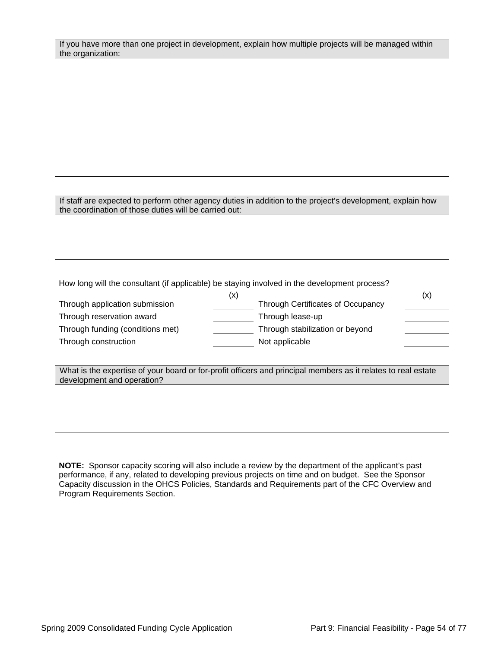|                   | If you have more than one project in development, explain how multiple projects will be managed within |
|-------------------|--------------------------------------------------------------------------------------------------------|
| the organization: |                                                                                                        |

If staff are expected to perform other agency duties in addition to the project's development, explain how the coordination of those duties will be carried out:

How long will the consultant (if applicable) be staying involved in the development process?

| (x)                                      | (x) |
|------------------------------------------|-----|
| <b>Through Certificates of Occupancy</b> |     |
| Through lease-up                         |     |
| Through stabilization or beyond          |     |
| Not applicable                           |     |
|                                          |     |

| What is the expertise of your board or for-profit officers and principal members as it relates to real estate |
|---------------------------------------------------------------------------------------------------------------|
| development and operation?                                                                                    |

**NOTE:** Sponsor capacity scoring will also include a review by the department of the applicant's past performance, if any, related to developing previous projects on time and on budget. See the Sponsor Capacity discussion in the OHCS Policies, Standards and Requirements part of the CFC Overview and Program Requirements Section.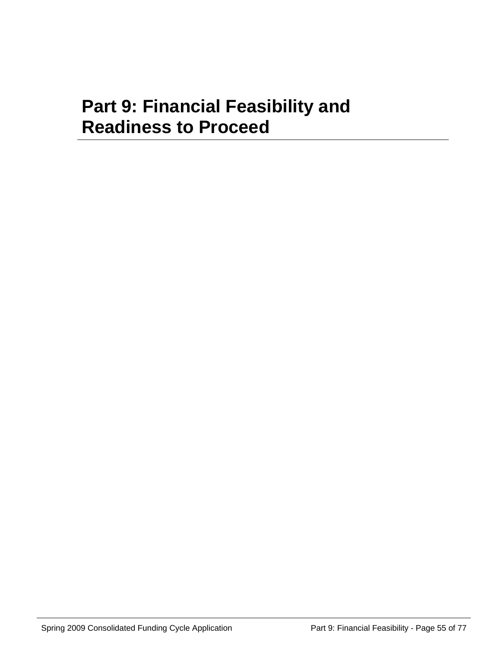## **Part 9: Financial Feasibility and Readiness to Proceed**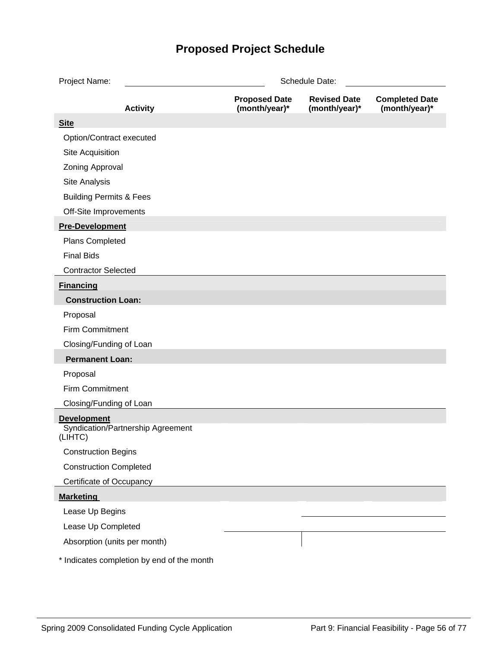## **Proposed Project Schedule**

| Project Name:                      | Schedule Date:                             |                                       |                                      |                                        |  |  |  |  |  |
|------------------------------------|--------------------------------------------|---------------------------------------|--------------------------------------|----------------------------------------|--|--|--|--|--|
|                                    | <b>Activity</b>                            | <b>Proposed Date</b><br>(month/year)* | <b>Revised Date</b><br>(month/year)* | <b>Completed Date</b><br>(month/year)* |  |  |  |  |  |
| <b>Site</b>                        |                                            |                                       |                                      |                                        |  |  |  |  |  |
| Option/Contract executed           |                                            |                                       |                                      |                                        |  |  |  |  |  |
| Site Acquisition                   |                                            |                                       |                                      |                                        |  |  |  |  |  |
| Zoning Approval                    |                                            |                                       |                                      |                                        |  |  |  |  |  |
| Site Analysis                      |                                            |                                       |                                      |                                        |  |  |  |  |  |
| <b>Building Permits &amp; Fees</b> |                                            |                                       |                                      |                                        |  |  |  |  |  |
| Off-Site Improvements              |                                            |                                       |                                      |                                        |  |  |  |  |  |
| <b>Pre-Development</b>             |                                            |                                       |                                      |                                        |  |  |  |  |  |
| Plans Completed                    |                                            |                                       |                                      |                                        |  |  |  |  |  |
| <b>Final Bids</b>                  |                                            |                                       |                                      |                                        |  |  |  |  |  |
| <b>Contractor Selected</b>         |                                            |                                       |                                      |                                        |  |  |  |  |  |
| <b>Financing</b>                   |                                            |                                       |                                      |                                        |  |  |  |  |  |
| <b>Construction Loan:</b>          |                                            |                                       |                                      |                                        |  |  |  |  |  |
| Proposal                           |                                            |                                       |                                      |                                        |  |  |  |  |  |
| <b>Firm Commitment</b>             |                                            |                                       |                                      |                                        |  |  |  |  |  |
| Closing/Funding of Loan            |                                            |                                       |                                      |                                        |  |  |  |  |  |
| <b>Permanent Loan:</b>             |                                            |                                       |                                      |                                        |  |  |  |  |  |
| Proposal                           |                                            |                                       |                                      |                                        |  |  |  |  |  |
| Firm Commitment                    |                                            |                                       |                                      |                                        |  |  |  |  |  |
| Closing/Funding of Loan            |                                            |                                       |                                      |                                        |  |  |  |  |  |
| <b>Development</b><br>(LIHTC)      | Syndication/Partnership Agreement          |                                       |                                      |                                        |  |  |  |  |  |
| <b>Construction Begins</b>         |                                            |                                       |                                      |                                        |  |  |  |  |  |
| <b>Construction Completed</b>      |                                            |                                       |                                      |                                        |  |  |  |  |  |
| Certificate of Occupancy           |                                            |                                       |                                      |                                        |  |  |  |  |  |
| <b>Marketing</b>                   |                                            |                                       |                                      |                                        |  |  |  |  |  |
| Lease Up Begins                    |                                            |                                       |                                      |                                        |  |  |  |  |  |
| Lease Up Completed                 |                                            |                                       |                                      |                                        |  |  |  |  |  |
| Absorption (units per month)       |                                            |                                       |                                      |                                        |  |  |  |  |  |
|                                    | * Indicates completion by end of the month |                                       |                                      |                                        |  |  |  |  |  |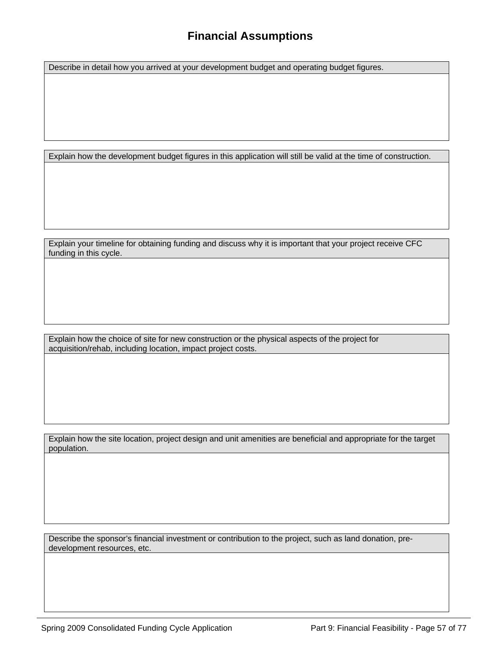### **Financial Assumptions**

Describe in detail how you arrived at your development budget and operating budget figures.

Explain how the development budget figures in this application will still be valid at the time of construction.

Explain your timeline for obtaining funding and discuss why it is important that your project receive CFC funding in this cycle.

Explain how the choice of site for new construction or the physical aspects of the project for acquisition/rehab, including location, impact project costs.

Explain how the site location, project design and unit amenities are beneficial and appropriate for the target population.

Describe the sponsor's financial investment or contribution to the project, such as land donation, predevelopment resources, etc.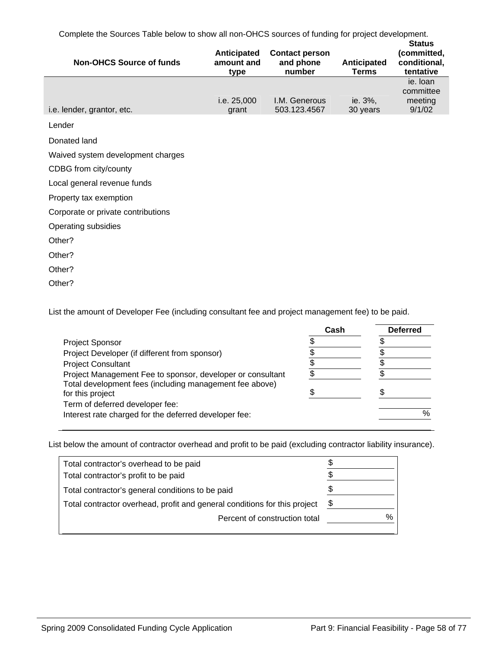Complete the Sources Table below to show all non-OHCS sources of funding for project development.

| <b>Non-OHCS Source of funds</b>    | Anticipated<br>amount and<br>type | <b>Contact person</b><br>and phone<br>number | Anticipated<br><b>Terms</b> | <b>Status</b><br>(committed,<br>conditional,<br>tentative |
|------------------------------------|-----------------------------------|----------------------------------------------|-----------------------------|-----------------------------------------------------------|
| i.e. lender, grantor, etc.         | i.e. 25,000<br>grant              | <b>I.M. Generous</b><br>503.123.4567         | ie. 3%,<br>30 years         | ie. Ioan<br>committee<br>meeting<br>9/1/02                |
| Lender                             |                                   |                                              |                             |                                                           |
| Donated land                       |                                   |                                              |                             |                                                           |
| Waived system development charges  |                                   |                                              |                             |                                                           |
| CDBG from city/county              |                                   |                                              |                             |                                                           |
| Local general revenue funds        |                                   |                                              |                             |                                                           |
| Property tax exemption             |                                   |                                              |                             |                                                           |
| Corporate or private contributions |                                   |                                              |                             |                                                           |
| Operating subsidies                |                                   |                                              |                             |                                                           |
| Other?                             |                                   |                                              |                             |                                                           |
| Other?                             |                                   |                                              |                             |                                                           |
| Other?                             |                                   |                                              |                             |                                                           |
| Other?                             |                                   |                                              |                             |                                                           |

List the amount of Developer Fee (including consultant fee and project management fee) to be paid.

|                                                                             | Cash | <b>Deferred</b> |
|-----------------------------------------------------------------------------|------|-----------------|
| <b>Project Sponsor</b>                                                      |      |                 |
| Project Developer (if different from sponsor)                               |      |                 |
| <b>Project Consultant</b>                                                   |      |                 |
| Project Management Fee to sponsor, developer or consultant                  |      |                 |
| Total development fees (including management fee above)<br>for this project |      |                 |
| Term of deferred developer fee:                                             |      |                 |
| Interest rate charged for the deferred developer fee:                       |      | %               |

List below the amount of contractor overhead and profit to be paid (excluding contractor liability insurance).

| Total contractor's overhead to be paid                                    | æ.   |
|---------------------------------------------------------------------------|------|
| Total contractor's profit to be paid                                      |      |
| Total contractor's general conditions to be paid                          |      |
| Total contractor overhead, profit and general conditions for this project | \$   |
| Percent of construction total                                             | $\%$ |
|                                                                           |      |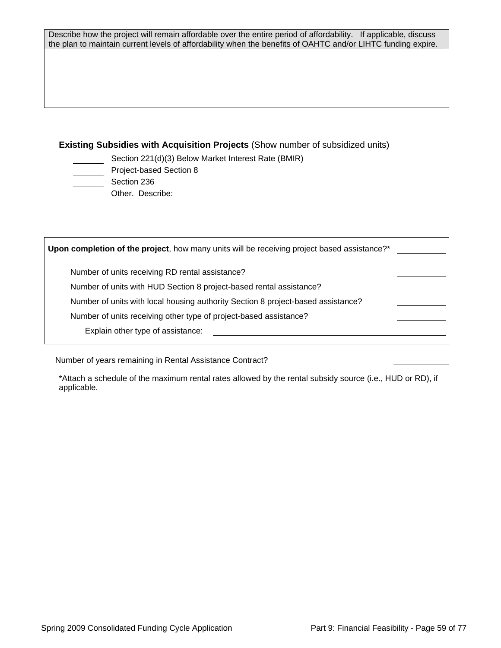Describe how the project will remain affordable over the entire period of affordability. If applicable, discuss the plan to maintain current levels of affordability when the benefits of OAHTC and/or LIHTC funding expire.

### **Existing Subsidies with Acquisition Projects** (Show number of subsidized units)

- Section 221(d)(3) Below Market Interest Rate (BMIR)
- Project-based Section 8
- Section 236
- Other. Describe:

| Upon completion of the project, how many units will be receiving project based assistance?* |  |
|---------------------------------------------------------------------------------------------|--|
| Number of units receiving RD rental assistance?                                             |  |
| Number of units with HUD Section 8 project-based rental assistance?                         |  |
| Number of units with local housing authority Section 8 project-based assistance?            |  |
| Number of units receiving other type of project-based assistance?                           |  |
| Explain other type of assistance:                                                           |  |
|                                                                                             |  |

Number of years remaining in Rental Assistance Contract?

\*Attach a schedule of the maximum rental rates allowed by the rental subsidy source (i.e., HUD or RD), if applicable.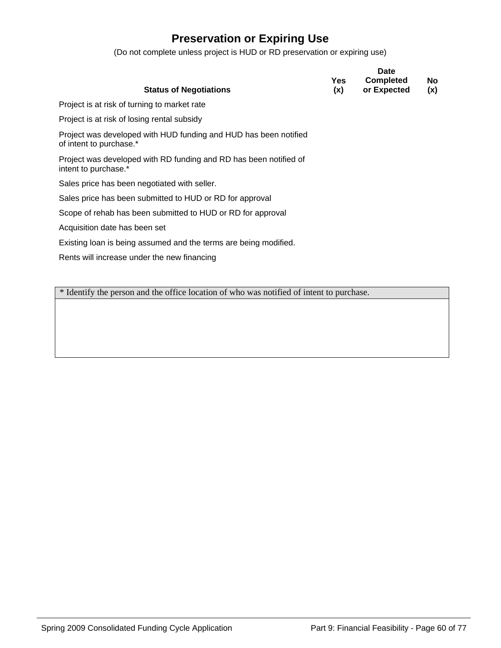### **Preservation or Expiring Use**

(Do not complete unless project is HUD or RD preservation or expiring use)

|                                                                                             | Yes. | <b>Date</b><br><b>Completed</b> | No. |
|---------------------------------------------------------------------------------------------|------|---------------------------------|-----|
| <b>Status of Negotiations</b>                                                               | (x)  | or Expected                     | (x) |
| Project is at risk of turning to market rate                                                |      |                                 |     |
| Project is at risk of losing rental subsidy                                                 |      |                                 |     |
| Project was developed with HUD funding and HUD has been notified<br>of intent to purchase.* |      |                                 |     |
| Project was developed with RD funding and RD has been notified of<br>intent to purchase.*   |      |                                 |     |
| Sales price has been negotiated with seller.                                                |      |                                 |     |
| Sales price has been submitted to HUD or RD for approval                                    |      |                                 |     |
| Scope of rehab has been submitted to HUD or RD for approval                                 |      |                                 |     |
| Acquisition date has been set                                                               |      |                                 |     |
| Existing loan is being assumed and the terms are being modified.                            |      |                                 |     |
| Rents will increase under the new financing                                                 |      |                                 |     |

\* Identify the person and the office location of who was notified of intent to purchase.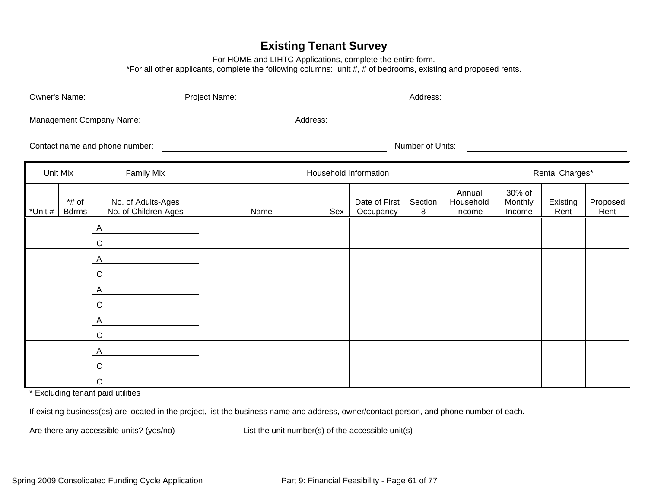### **Existing Tenant Survey**

For HOME and LIHTC Applications, complete the entire form.

\*For all other applicants, complete the following columns: unit #, # of bedrooms, existing and proposed rents.

|                                | Owner's Name:<br>Project Name: |                                            |          | Address:         |                            |              |                               |                             |                  |                  |
|--------------------------------|--------------------------------|--------------------------------------------|----------|------------------|----------------------------|--------------|-------------------------------|-----------------------------|------------------|------------------|
|                                |                                | Management Company Name:                   | Address: |                  |                            |              |                               |                             |                  |                  |
| Contact name and phone number: |                                |                                            |          | Number of Units: |                            |              |                               |                             |                  |                  |
|                                | Unit Mix                       | <b>Family Mix</b>                          |          |                  | Household Information      |              |                               |                             | Rental Charges*  |                  |
| *Unit #                        | $*$ # of<br><b>Bdrms</b>       | No. of Adults-Ages<br>No. of Children-Ages | Name     | Sex              | Date of First<br>Occupancy | Section<br>8 | Annual<br>Household<br>Income | 30% of<br>Monthly<br>Income | Existing<br>Rent | Proposed<br>Rent |
|                                |                                | Α<br>$\mathsf C$                           |          |                  |                            |              |                               |                             |                  |                  |
|                                |                                | Α<br>$\mathsf C$                           |          |                  |                            |              |                               |                             |                  |                  |
|                                |                                | A<br>С                                     |          |                  |                            |              |                               |                             |                  |                  |
|                                |                                | Α<br>$\mathsf C$                           |          |                  |                            |              |                               |                             |                  |                  |
|                                |                                | Α<br>C                                     |          |                  |                            |              |                               |                             |                  |                  |

\* Excluding tenant paid utilities

C

If existing business(es) are located in the project, list the business name and address, owner/contact person, and phone number of each.

Are there any accessible units? (yes/no) List the unit number(s) of the accessible unit(s)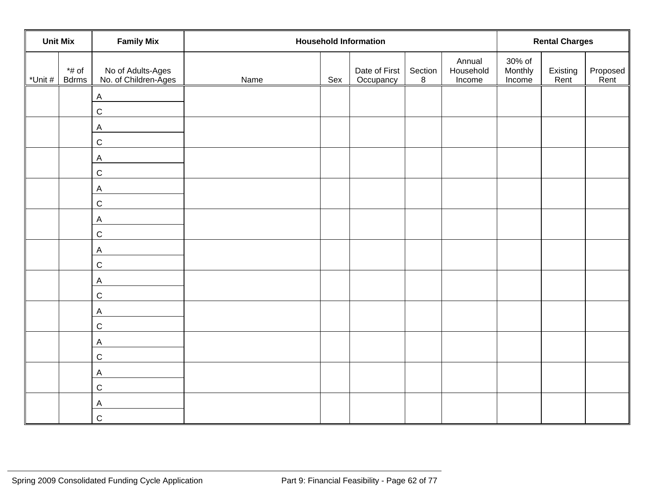| <b>Family Mix</b><br><b>Unit Mix</b> |                          |                                           | <b>Household Information</b> | <b>Rental Charges</b> |                            |              |                               |                             |                  |                  |
|--------------------------------------|--------------------------|-------------------------------------------|------------------------------|-----------------------|----------------------------|--------------|-------------------------------|-----------------------------|------------------|------------------|
| *Unit #                              | $*$ # of<br><b>Bdrms</b> | No of Adults-Ages<br>No. of Children-Ages | Name                         | Sex                   | Date of First<br>Occupancy | Section<br>8 | Annual<br>Household<br>Income | 30% of<br>Monthly<br>Income | Existing<br>Rent | Proposed<br>Rent |
|                                      |                          | $\boldsymbol{\mathsf{A}}$<br>$\mathsf C$  |                              |                       |                            |              |                               |                             |                  |                  |
|                                      |                          | $\boldsymbol{\mathsf{A}}$<br>$\mathsf C$  |                              |                       |                            |              |                               |                             |                  |                  |
|                                      |                          | $\mathsf{A}$<br>$\mathsf C$               |                              |                       |                            |              |                               |                             |                  |                  |
|                                      |                          | $\boldsymbol{\mathsf{A}}$<br>$\mathsf C$  |                              |                       |                            |              |                               |                             |                  |                  |
|                                      |                          | $\mathsf{A}$<br>$\mathsf C$               |                              |                       |                            |              |                               |                             |                  |                  |
|                                      |                          | A<br>$\mathsf C$                          |                              |                       |                            |              |                               |                             |                  |                  |
|                                      |                          | $\boldsymbol{\mathsf{A}}$                 |                              |                       |                            |              |                               |                             |                  |                  |
|                                      |                          | $\mathsf C$<br>$\mathsf{A}$               |                              |                       |                            |              |                               |                             |                  |                  |
|                                      |                          | $\mathsf C$<br>A                          |                              |                       |                            |              |                               |                             |                  |                  |
|                                      |                          | $\mathsf C$<br>$\mathsf{A}$               |                              |                       |                            |              |                               |                             |                  |                  |
|                                      |                          | $\mathsf C$<br>A<br>$\mathsf C$           |                              |                       |                            |              |                               |                             |                  |                  |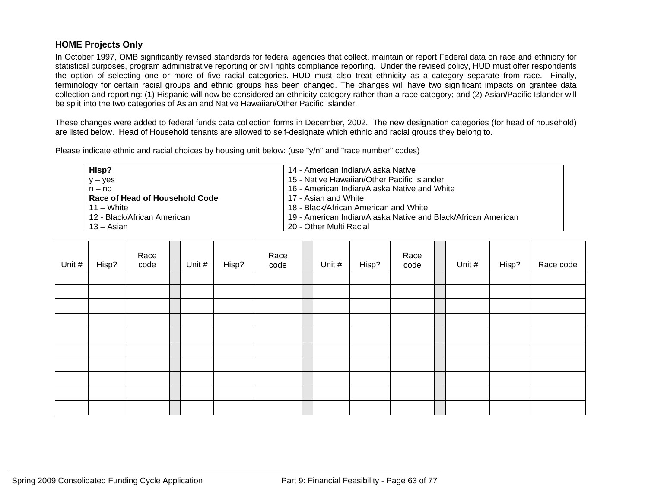### **HOME Projects Only**

In October 1997, OMB significantly revised standards for federal agencies that collect, maintain or report Federal data on race and ethnicity for statistical purposes, program administrative reporting or civil rights compliance reporting. Under the revised policy, HUD must offer respondents the option of selecting one or more of five racial categories. HUD must also treat ethnicity as a category separate from race. Finally, terminology for certain racial groups and ethnic groups has been changed. The changes will have two significant impacts on grantee data collection and reporting: (1) Hispanic will now be considered an ethnicity category rather than a race category; and (2) Asian/Pacific Islander will be split into the two categories of Asian and Native Hawaiian/Other Pacific Islander.

These changes were added to federal funds data collection forms in December, 2002. The new designation categories (for head of household) are listed below. Head of Household tenants are allowed to self-designate which ethnic and racial groups they belong to.

Please indicate ethnic and racial choices by housing unit below: (use "y/n" and "race number" codes)

| Hisp?                          | 14 - American Indian/Alaska Native                            |
|--------------------------------|---------------------------------------------------------------|
| $y - yes$                      | 15 - Native Hawaiian/Other Pacific Islander                   |
| $n - no$                       | 16 - American Indian/Alaska Native and White                  |
| Race of Head of Household Code | 17 - Asian and White                                          |
| 11 – White                     | 18 - Black/African American and White                         |
| 12 - Black/African American    | 19 - American Indian/Alaska Native and Black/African American |
| 13 – Asian                     | 20 - Other Multi Racial                                       |

| Unit # | Hisp? | Race<br>code | Unit # | Hisp? | Race<br>code | Unit # | Hisp? | Race<br>code | Unit # | Hisp? | Race code |
|--------|-------|--------------|--------|-------|--------------|--------|-------|--------------|--------|-------|-----------|
|        |       |              |        |       |              |        |       |              |        |       |           |
|        |       |              |        |       |              |        |       |              |        |       |           |
|        |       |              |        |       |              |        |       |              |        |       |           |
|        |       |              |        |       |              |        |       |              |        |       |           |
|        |       |              |        |       |              |        |       |              |        |       |           |
|        |       |              |        |       |              |        |       |              |        |       |           |
|        |       |              |        |       |              |        |       |              |        |       |           |
|        |       |              |        |       |              |        |       |              |        |       |           |
|        |       |              |        |       |              |        |       |              |        |       |           |
|        |       |              |        |       |              |        |       |              |        |       |           |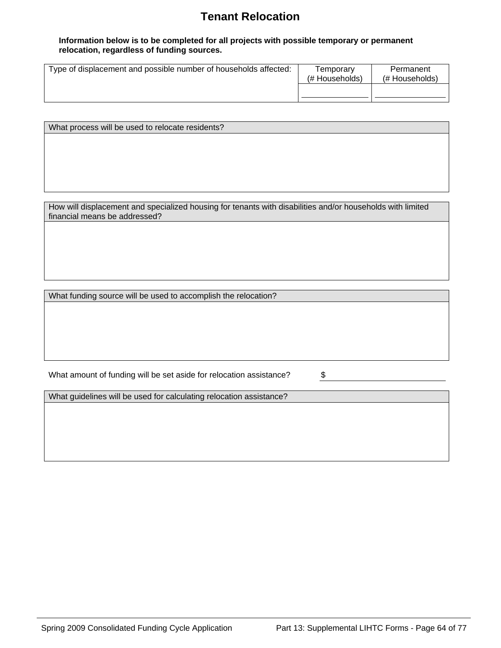### **Tenant Relocation**

#### **Information below is to be completed for all projects with possible temporary or permanent relocation, regardless of funding sources.**

| Type of displacement and possible number of households affected: | Temporary<br>(# Households) | Permanent<br>(# Households) |
|------------------------------------------------------------------|-----------------------------|-----------------------------|
|                                                                  |                             |                             |

What process will be used to relocate residents?

How will displacement and specialized housing for tenants with disabilities and/or households with limited financial means be addressed?

What funding source will be used to accomplish the relocation?

What amount of funding will be set aside for relocation assistance?  $\$\$$ 

What guidelines will be used for calculating relocation assistance?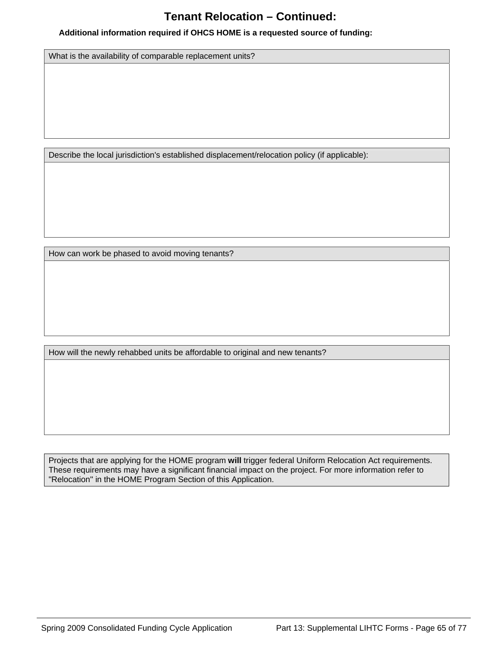### **Tenant Relocation – Continued:**

#### **Additional information required if OHCS HOME is a requested source of funding:**

What is the availability of comparable replacement units?

Describe the local jurisdiction's established displacement/relocation policy (if applicable):

How can work be phased to avoid moving tenants?

How will the newly rehabbed units be affordable to original and new tenants?

Projects that are applying for the HOME program **will** trigger federal Uniform Relocation Act requirements. These requirements may have a significant financial impact on the project. For more information refer to "Relocation" in the HOME Program Section of this Application.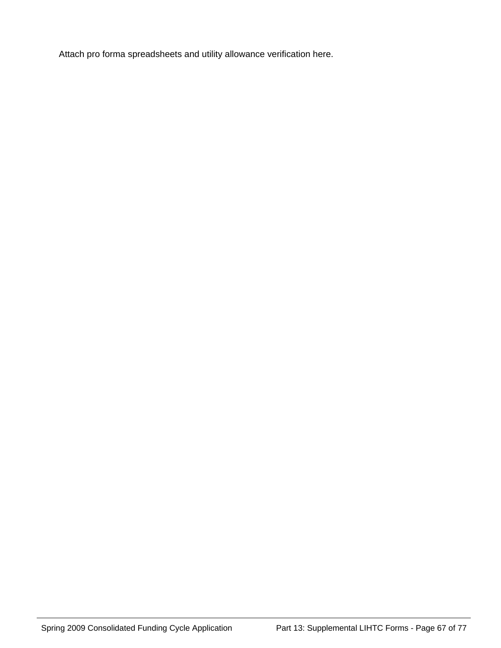Attach pro forma spreadsheets and utility allowance verification here.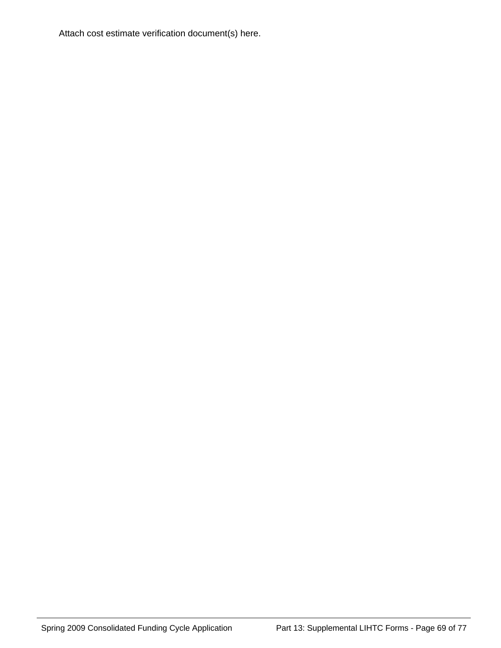Attach cost estimate verification document(s) here.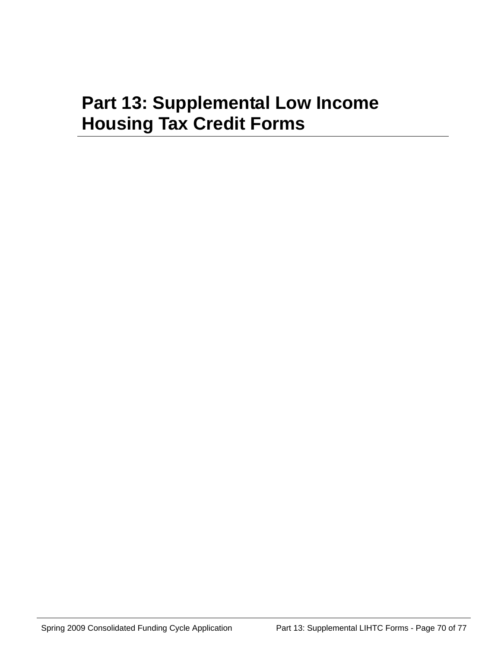# **Part 13: Supplemental Low Income Housing Tax Credit Forms**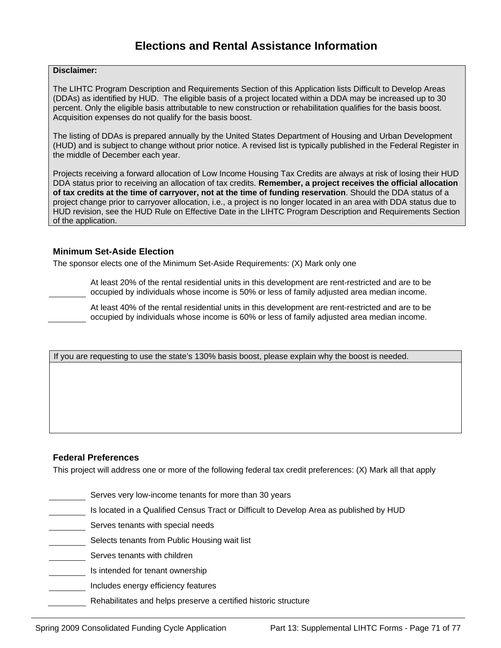#### **Disclaimer:**

The LIHTC Program Description and Requirements Section of this Application lists Difficult to Develop Areas (DDAs) as identified by HUD. The eligible basis of a project located within a DDA may be increased up to 30 percent. Only the eligible basis attributable to new construction or rehabilitation qualifies for the basis boost. Acquisition expenses do not qualify for the basis boost.

The listing of DDAs is prepared annually by the United States Department of Housing and Urban Development (HUD) and is subject to change without prior notice. A revised list is typically published in the Federal Register in the middle of December each year.

Projects receiving a forward allocation of Low Income Housing Tax Credits are always at risk of losing their HUD DDA status prior to receiving an allocation of tax credits. **Remember, a project receives the official allocation of tax credits at the time of carryover, not at the time of funding reservation**. Should the DDA status of a project change prior to carryover allocation, i.e., a project is no longer located in an area with DDA status due to HUD revision, see the HUD Rule on Effective Date in the LIHTC Program Description and Requirements Section of the application.

#### **Minimum Set-Aside Election**

The sponsor elects one of the Minimum Set-Aside Requirements: (X) Mark only one

At least 20% of the rental residential units in this development are rent-restricted and are to be occupied by individuals whose income is 50% or less of family adjusted area median income.

At least 40% of the rental residential units in this development are rent-restricted and are to be occupied by individuals whose income is 60% or less of family adjusted area median income.

If you are requesting to use the state's 130% basis boost, please explain why the boost is needed.

#### **Federal Preferences**

This project will address one or more of the following federal tax credit preferences: (X) Mark all that apply

- Serves very low-income tenants for more than 30 years
- Is located in a Qualified Census Tract or Difficult to Develop Area as published by HUD
- Serves tenants with special needs
- Selects tenants from Public Housing wait list
- Serves tenants with children
- Is intended for tenant ownership
- Includes energy efficiency features
	- Rehabilitates and helps preserve a certified historic structure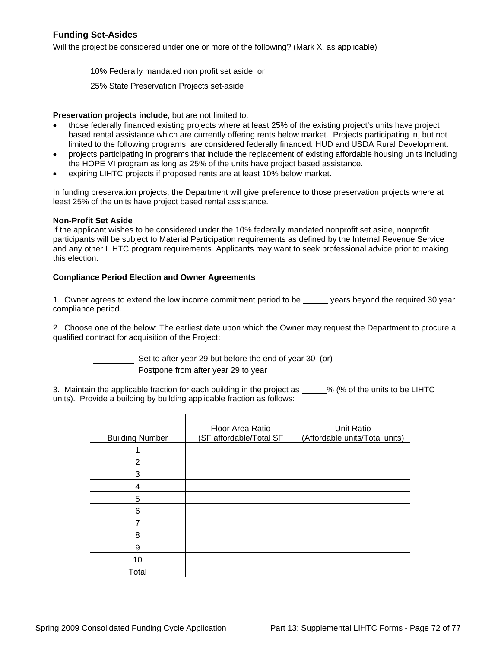### **Funding Set-Asides**

Will the project be considered under one or more of the following? (Mark X, as applicable)

10% Federally mandated non profit set aside, or

25% State Preservation Projects set-aside

#### **Preservation projects include**, but are not limited to:

- those federally financed existing projects where at least 25% of the existing project's units have project based rental assistance which are currently offering rents below market. Projects participating in, but not limited to the following programs, are considered federally financed: HUD and USDA Rural Development.
- projects participating in programs that include the replacement of existing affordable housing units including the HOPE VI program as long as 25% of the units have project based assistance.
- expiring LIHTC projects if proposed rents are at least 10% below market.

In funding preservation projects, the Department will give preference to those preservation projects where at least 25% of the units have project based rental assistance.

#### **Non-Profit Set Aside**

If the applicant wishes to be considered under the 10% federally mandated nonprofit set aside, nonprofit participants will be subject to Material Participation requirements as defined by the Internal Revenue Service and any other LIHTC program requirements. Applicants may want to seek professional advice prior to making this election.

#### **Compliance Period Election and Owner Agreements**

1. Owner agrees to extend the low income commitment period to be years beyond the required 30 year compliance period.

2. Choose one of the below: The earliest date upon which the Owner may request the Department to procure a qualified contract for acquisition of the Project:

Set to after year 29 but before the end of year 30 (or)

Postpone from after year 29 to year

3. Maintain the applicable fraction for each building in the project as  $\_\_\_\%$  (% of the units to be LIHTC units). Provide a building by building applicable fraction as follows:

| <b>Building Number</b> | Floor Area Ratio<br>(SF affordable/Total SF | Unit Ratio<br>(Affordable units/Total units) |
|------------------------|---------------------------------------------|----------------------------------------------|
|                        |                                             |                                              |
| 2                      |                                             |                                              |
| 3                      |                                             |                                              |
| 4                      |                                             |                                              |
| 5                      |                                             |                                              |
| 6                      |                                             |                                              |
|                        |                                             |                                              |
| 8                      |                                             |                                              |
| 9                      |                                             |                                              |
| 10                     |                                             |                                              |
| Total                  |                                             |                                              |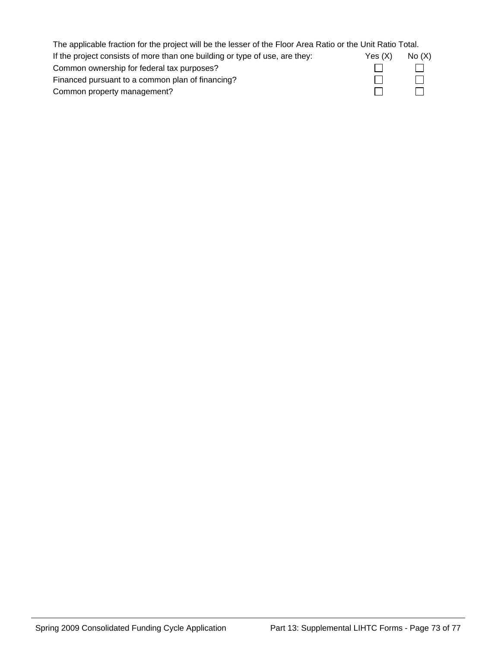| The applicable fraction for the project will be the lesser of the Floor Area Ratio or the Unit Ratio Total. |         |         |
|-------------------------------------------------------------------------------------------------------------|---------|---------|
| If the project consists of more than one building or type of use, are they:                                 | Yes (X) | No(X)   |
| Common ownership for federal tax purposes?                                                                  |         | $\perp$ |
| Financed pursuant to a common plan of financing?                                                            |         |         |
| Common property management?                                                                                 |         |         |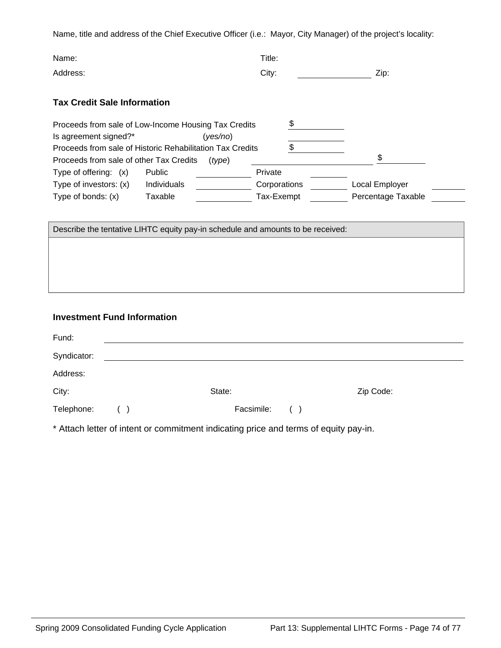Name, title and address of the Chief Executive Officer (i.e.: Mayor, City Manager) of the project's locality:

| Name:                                                                                                          | Title:  |      |
|----------------------------------------------------------------------------------------------------------------|---------|------|
| Address:                                                                                                       | City:   | Zip: |
| <b>Tax Credit Sale Information</b>                                                                             |         |      |
| Proceeds from sale of Low-Income Housing Tax Credits<br>Is agreement signed?*<br>yes/no)                       |         |      |
| Proceeds from sale of Historic Rehabilitation Tax Credits<br>Proceeds from sale of other Tax Credits<br>(type) |         | ¢    |
| Type of offering: (x)<br><b>Public</b>                                                                         | Private |      |

| Type of investors: (x) | Individuals | Corporations | Local Employer     |
|------------------------|-------------|--------------|--------------------|
| Type of bonds: $(x)$   | Taxable     | Tax-Exempt   | Percentage Taxable |

Describe the tentative LIHTC equity pay-in schedule and amounts to be received:

## **Investment Fund Information**

| Fund:       |     |                 |           |
|-------------|-----|-----------------|-----------|
| Syndicator: |     |                 |           |
| Address:    |     |                 |           |
| City:       |     | State:          | Zip Code: |
| Telephone:  | ( ) | Facsimile:<br>( |           |

\* Attach letter of intent or commitment indicating price and terms of equity pay-in.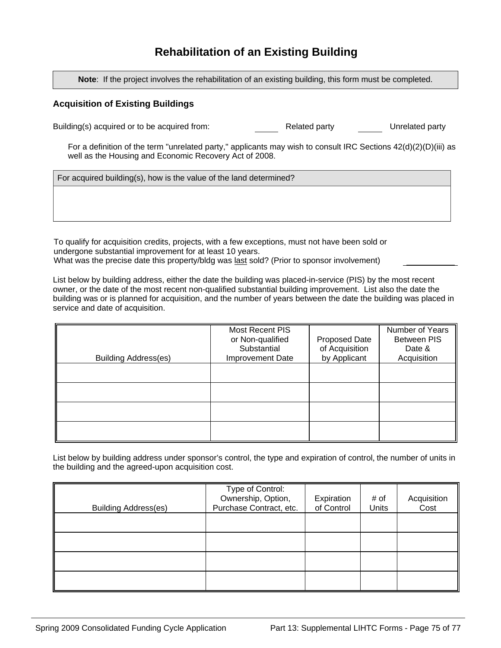# **Rehabilitation of an Existing Building**

**Note**: If the project involves the rehabilitation of an existing building, this form must be completed.

#### **Acquisition of Existing Buildings**

Building(s) acquired or to be acquired from: Related party Unrelated party

For a definition of the term "unrelated party," applicants may wish to consult IRC Sections 42(d)(2)(D)(iii) as well as the Housing and Economic Recovery Act of 2008.

For acquired building(s), how is the value of the land determined?

To qualify for acquisition credits, projects, with a few exceptions, must not have been sold or undergone substantial improvement for at least 10 years. What was the precise date this property/bldg was last sold? (Prior to sponsor involvement)

List below by building address, either the date the building was placed-in-service (PIS) by the most recent owner, or the date of the most recent non-qualified substantial building improvement. List also the date the building was or is planned for acquisition, and the number of years between the date the building was placed in service and date of acquisition.

| <b>Building Address(es)</b> | Most Recent PIS<br>or Non-qualified<br>Substantial<br><b>Improvement Date</b> | Proposed Date<br>of Acquisition<br>by Applicant | Number of Years<br><b>Between PIS</b><br>Date &<br>Acquisition |
|-----------------------------|-------------------------------------------------------------------------------|-------------------------------------------------|----------------------------------------------------------------|
|                             |                                                                               |                                                 |                                                                |
|                             |                                                                               |                                                 |                                                                |
|                             |                                                                               |                                                 |                                                                |
|                             |                                                                               |                                                 |                                                                |

List below by building address under sponsor's control, the type and expiration of control, the number of units in the building and the agreed-upon acquisition cost.

| <b>Building Address(es)</b> | Type of Control:<br>Ownership, Option,<br>Purchase Contract, etc. | Expiration<br>of Control | # of<br>Units | Acquisition<br>Cost |
|-----------------------------|-------------------------------------------------------------------|--------------------------|---------------|---------------------|
|                             |                                                                   |                          |               |                     |
|                             |                                                                   |                          |               |                     |
|                             |                                                                   |                          |               |                     |
|                             |                                                                   |                          |               |                     |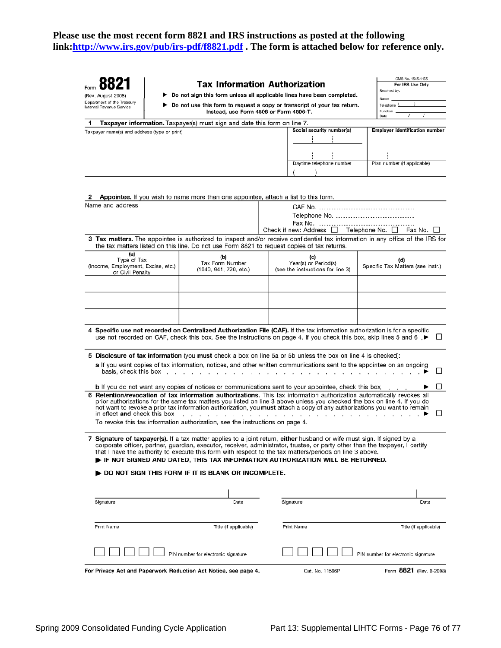### **Please use the most recent form 8821 and IRS instructions as posted at the following link:<http://www.irs.gov/pub/irs-pdf/f8821.pdf> . The form is attached below for reference only.**

| (Rev. August 2008)                                                                                                                                                          | <b>Tax Information Authorization</b>                                                        | ▶ Do not sign this form unless all applicable lines have been completed.                                                                                                                                                                                                                                                                                                                                                                                                                                                                         | OMB No. 1545-1165<br>For IRS Use Only<br>Received by:<br>Name |
|-----------------------------------------------------------------------------------------------------------------------------------------------------------------------------|---------------------------------------------------------------------------------------------|--------------------------------------------------------------------------------------------------------------------------------------------------------------------------------------------------------------------------------------------------------------------------------------------------------------------------------------------------------------------------------------------------------------------------------------------------------------------------------------------------------------------------------------------------|---------------------------------------------------------------|
| Department of the Treasury<br>Do not use this form to request a copy or transcript of your tax return.<br>Intemal Revenue Service<br>Instead, use Form 4506 or Form 4506-T. |                                                                                             |                                                                                                                                                                                                                                                                                                                                                                                                                                                                                                                                                  | Telephone 1<br>Function<br>Date                               |
|                                                                                                                                                                             | Taxpayer information. Taxpayer(s) must sign and date this form on line 7.                   |                                                                                                                                                                                                                                                                                                                                                                                                                                                                                                                                                  |                                                               |
| Taxpayer name(s) and address (type or print)                                                                                                                                |                                                                                             | Social security number(s)                                                                                                                                                                                                                                                                                                                                                                                                                                                                                                                        | <b>Employer identification number</b>                         |
|                                                                                                                                                                             |                                                                                             |                                                                                                                                                                                                                                                                                                                                                                                                                                                                                                                                                  |                                                               |
|                                                                                                                                                                             |                                                                                             | Daytime telephone number                                                                                                                                                                                                                                                                                                                                                                                                                                                                                                                         | Plan number (if applicable)                                   |
|                                                                                                                                                                             | Appointee. If you wish to name more than one appointee, attach a list to this form.         |                                                                                                                                                                                                                                                                                                                                                                                                                                                                                                                                                  |                                                               |
| Name and address                                                                                                                                                            |                                                                                             | Telephone No.<br>Check if new: Address $\Box$ Telephone No. $\Box$ Fax No.                                                                                                                                                                                                                                                                                                                                                                                                                                                                       |                                                               |
|                                                                                                                                                                             | the tax matters listed on this line. Do not use Form 8821 to request copies of tax returns. | 3 Tax matters. The appointee is authorized to inspect and/or receive confidential tax information in any office of the IRS for                                                                                                                                                                                                                                                                                                                                                                                                                   |                                                               |
| (a)<br>Type of Tax<br>(Income, Employment, Excise, etc.)<br>or Civil Penalty                                                                                                | (b)<br>Tax Form Number<br>(1040, 941, 720, etc.)                                            | (c)<br>Year(s) or Period(s)<br>(see the instructions for line 3)                                                                                                                                                                                                                                                                                                                                                                                                                                                                                 | (d)<br>Specific Tax Matters (see instr.)                      |
|                                                                                                                                                                             |                                                                                             |                                                                                                                                                                                                                                                                                                                                                                                                                                                                                                                                                  |                                                               |
|                                                                                                                                                                             |                                                                                             | 4 Specific use not recorded on Centralized Authorization File (CAF). If the tax information authorization is for a specific<br>use not recorded on CAF, check this box. See the instructions on page 4. If you check this box, skip lines 5 and 6, ▶<br>5 Disclosure of tax information (you must check a box on line 5a or 5b unless the box on line 4 is checked):<br>a If you want copies of tax information, notices, and other written communications sent to the appointee on an ongoing                                                   | $\Box$                                                        |
| basis, check this box                                                                                                                                                       |                                                                                             |                                                                                                                                                                                                                                                                                                                                                                                                                                                                                                                                                  |                                                               |
| in effect and check this box                                                                                                                                                | .<br>To revoke this tax information authorization, see the instructions on page 4.          | <b>b</b> If you do not want any copies of notices or communications sent to your appointee, check this box<br>6 Retention/revocation of tax information authorizations. This tax information authorization automatically revokes all<br>prior authorizations for the same tax matters you listed on line 3 above unless you checked the box on line 4. If you do<br>not want to revoke a prior tax information authorization, you must attach a copy of any authorizations you want to remain<br>$\cdot$ $\cdot$ $\cdot$ $\cdot$ $\cdot$ $\cdot$ | $\Box$                                                        |
|                                                                                                                                                                             |                                                                                             | Signature of taxpayer(s). If a tax matter applies to a joint return, either husband or wife must sign. If signed by a<br>corporate officer, partner, guardian, executor, receiver, administrator, trustee, or party other than the taxpayer, I certify<br>that I have the authority to execute this form with respect to the tax matters/periods on line 3 above.<br>FIF NOT SIGNED AND DATED, THIS TAX INFORMATION AUTHORIZATION WILL BE RETURNED.                                                                                              |                                                               |
|                                                                                                                                                                             | $\blacktriangleright$ do not sign this form if it is blank or incomplete.                   |                                                                                                                                                                                                                                                                                                                                                                                                                                                                                                                                                  |                                                               |
| Signature                                                                                                                                                                   | Date                                                                                        | Signature                                                                                                                                                                                                                                                                                                                                                                                                                                                                                                                                        | Date                                                          |
| Print Name                                                                                                                                                                  | Title (if applicable)                                                                       | Print Name                                                                                                                                                                                                                                                                                                                                                                                                                                                                                                                                       | Title (if applicable)                                         |
|                                                                                                                                                                             | PIN number for electronic signature                                                         |                                                                                                                                                                                                                                                                                                                                                                                                                                                                                                                                                  | PIN number for electronic signature                           |
|                                                                                                                                                                             | For Privacy Act and Paperwork Reduction Act Notice, see page 4.                             | Cat. No. 11596P                                                                                                                                                                                                                                                                                                                                                                                                                                                                                                                                  | Form 8821 (Rev. 8-2008)                                       |